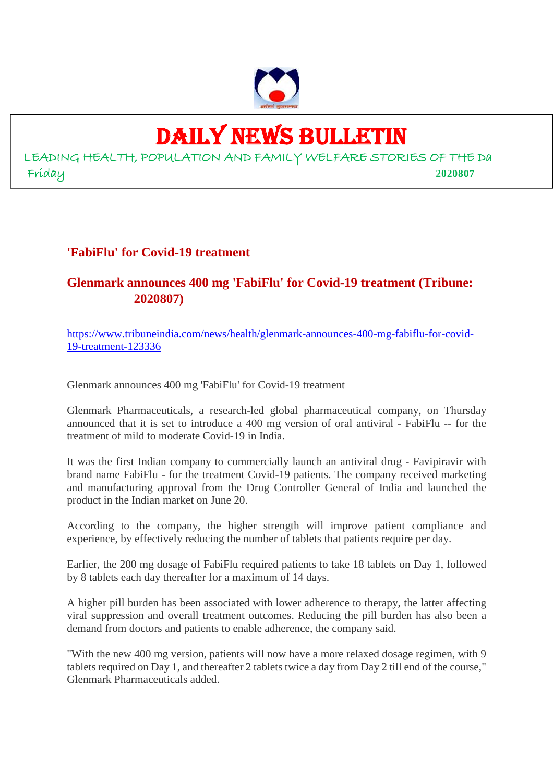

# DAILY NEWS BULLETIN

LEADING HEALTH, POPULATION AND FAMILY WELFARE STORIES OF THE Da Friday **2020807**

# **'FabiFlu' for Covid-19 treatment**

# **Glenmark announces 400 mg 'FabiFlu' for Covid-19 treatment (Tribune: 2020807)**

https://www.tribuneindia.com/news/health/glenmark-announces-400-mg-fabiflu-for-covid-19-treatment-123336

Glenmark announces 400 mg 'FabiFlu' for Covid-19 treatment

Glenmark Pharmaceuticals, a research-led global pharmaceutical company, on Thursday announced that it is set to introduce a 400 mg version of oral antiviral - FabiFlu -- for the treatment of mild to moderate Covid-19 in India.

It was the first Indian company to commercially launch an antiviral drug - Favipiravir with brand name FabiFlu - for the treatment Covid-19 patients. The company received marketing and manufacturing approval from the Drug Controller General of India and launched the product in the Indian market on June 20.

According to the company, the higher strength will improve patient compliance and experience, by effectively reducing the number of tablets that patients require per day.

Earlier, the 200 mg dosage of FabiFlu required patients to take 18 tablets on Day 1, followed by 8 tablets each day thereafter for a maximum of 14 days.

A higher pill burden has been associated with lower adherence to therapy, the latter affecting viral suppression and overall treatment outcomes. Reducing the pill burden has also been a demand from doctors and patients to enable adherence, the company said.

"With the new 400 mg version, patients will now have a more relaxed dosage regimen, with 9 tablets required on Day 1, and thereafter 2 tablets twice a day from Day 2 till end of the course," Glenmark Pharmaceuticals added.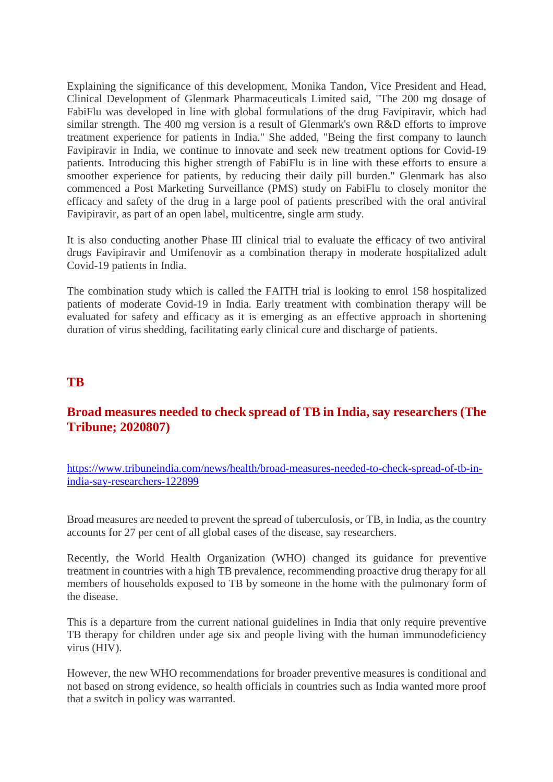Explaining the significance of this development, Monika Tandon, Vice President and Head, Clinical Development of Glenmark Pharmaceuticals Limited said, "The 200 mg dosage of FabiFlu was developed in line with global formulations of the drug Favipiravir, which had similar strength. The 400 mg version is a result of Glenmark's own R&D efforts to improve treatment experience for patients in India." She added, "Being the first company to launch Favipiravir in India, we continue to innovate and seek new treatment options for Covid-19 patients. Introducing this higher strength of FabiFlu is in line with these efforts to ensure a smoother experience for patients, by reducing their daily pill burden." Glenmark has also commenced a Post Marketing Surveillance (PMS) study on FabiFlu to closely monitor the efficacy and safety of the drug in a large pool of patients prescribed with the oral antiviral Favipiravir, as part of an open label, multicentre, single arm study.

It is also conducting another Phase III clinical trial to evaluate the efficacy of two antiviral drugs Favipiravir and Umifenovir as a combination therapy in moderate hospitalized adult Covid-19 patients in India.

The combination study which is called the FAITH trial is looking to enrol 158 hospitalized patients of moderate Covid-19 in India. Early treatment with combination therapy will be evaluated for safety and efficacy as it is emerging as an effective approach in shortening duration of virus shedding, facilitating early clinical cure and discharge of patients.

# **TB**

# **Broad measures needed to check spread of TB in India, say researchers (The Tribune; 2020807)**

https://www.tribuneindia.com/news/health/broad-measures-needed-to-check-spread-of-tb-inindia-say-researchers-122899

Broad measures are needed to prevent the spread of tuberculosis, or TB, in India, as the country accounts for 27 per cent of all global cases of the disease, say researchers.

Recently, the World Health Organization (WHO) changed its guidance for preventive treatment in countries with a high TB prevalence, recommending proactive drug therapy for all members of households exposed to TB by someone in the home with the pulmonary form of the disease.

This is a departure from the current national guidelines in India that only require preventive TB therapy for children under age six and people living with the human immunodeficiency virus (HIV).

However, the new WHO recommendations for broader preventive measures is conditional and not based on strong evidence, so health officials in countries such as India wanted more proof that a switch in policy was warranted.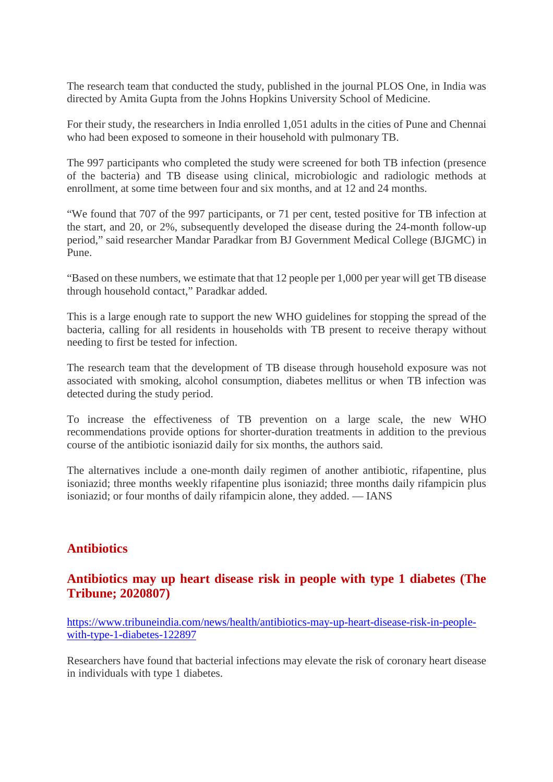The research team that conducted the study, published in the journal PLOS One, in India was directed by Amita Gupta from the Johns Hopkins University School of Medicine.

For their study, the researchers in India enrolled 1,051 adults in the cities of Pune and Chennai who had been exposed to someone in their household with pulmonary TB.

The 997 participants who completed the study were screened for both TB infection (presence of the bacteria) and TB disease using clinical, microbiologic and radiologic methods at enrollment, at some time between four and six months, and at 12 and 24 months.

"We found that 707 of the 997 participants, or 71 per cent, tested positive for TB infection at the start, and 20, or 2%, subsequently developed the disease during the 24-month follow-up period," said researcher Mandar Paradkar from BJ Government Medical College (BJGMC) in Pune.

"Based on these numbers, we estimate that that 12 people per 1,000 per year will get TB disease through household contact," Paradkar added.

This is a large enough rate to support the new WHO guidelines for stopping the spread of the bacteria, calling for all residents in households with TB present to receive therapy without needing to first be tested for infection.

The research team that the development of TB disease through household exposure was not associated with smoking, alcohol consumption, diabetes mellitus or when TB infection was detected during the study period.

To increase the effectiveness of TB prevention on a large scale, the new WHO recommendations provide options for shorter-duration treatments in addition to the previous course of the antibiotic isoniazid daily for six months, the authors said.

The alternatives include a one-month daily regimen of another antibiotic, rifapentine, plus isoniazid; three months weekly rifapentine plus isoniazid; three months daily rifampicin plus isoniazid; or four months of daily rifampicin alone, they added. — IANS

# **Antibiotics**

# **Antibiotics may up heart disease risk in people with type 1 diabetes (The Tribune; 2020807)**

https://www.tribuneindia.com/news/health/antibiotics-may-up-heart-disease-risk-in-peoplewith-type-1-diabetes-122897

Researchers have found that bacterial infections may elevate the risk of coronary heart disease in individuals with type 1 diabetes.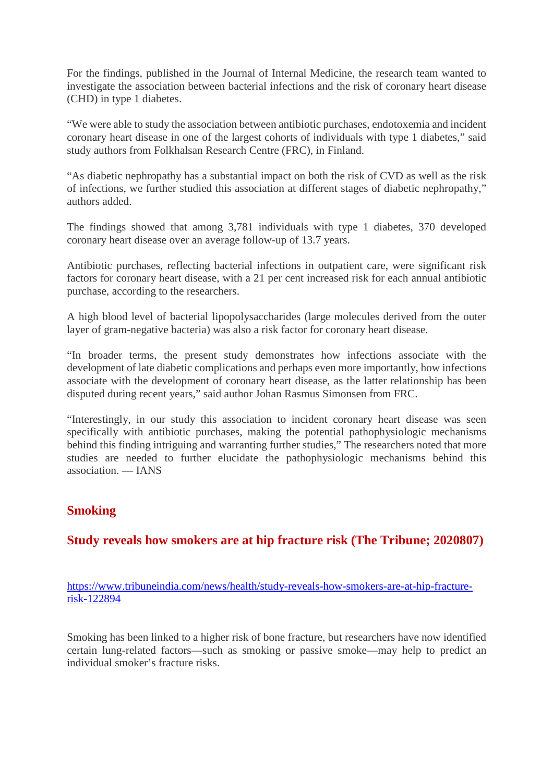For the findings, published in the Journal of Internal Medicine, the research team wanted to investigate the association between bacterial infections and the risk of coronary heart disease (CHD) in type 1 diabetes.

"We were able to study the association between antibiotic purchases, endotoxemia and incident coronary heart disease in one of the largest cohorts of individuals with type 1 diabetes," said study authors from Folkhalsan Research Centre (FRC), in Finland.

"As diabetic nephropathy has a substantial impact on both the risk of CVD as well as the risk of infections, we further studied this association at different stages of diabetic nephropathy," authors added.

The findings showed that among 3,781 individuals with type 1 diabetes, 370 developed coronary heart disease over an average follow-up of 13.7 years.

Antibiotic purchases, reflecting bacterial infections in outpatient care, were significant risk factors for coronary heart disease, with a 21 per cent increased risk for each annual antibiotic purchase, according to the researchers.

A high blood level of bacterial lipopolysaccharides (large molecules derived from the outer layer of gram-negative bacteria) was also a risk factor for coronary heart disease.

"In broader terms, the present study demonstrates how infections associate with the development of late diabetic complications and perhaps even more importantly, how infections associate with the development of coronary heart disease, as the latter relationship has been disputed during recent years," said author Johan Rasmus Simonsen from FRC.

"Interestingly, in our study this association to incident coronary heart disease was seen specifically with antibiotic purchases, making the potential pathophysiologic mechanisms behind this finding intriguing and warranting further studies," The researchers noted that more studies are needed to further elucidate the pathophysiologic mechanisms behind this association. — IANS

# **Smoking**

# **Study reveals how smokers are at hip fracture risk (The Tribune; 2020807)**

https://www.tribuneindia.com/news/health/study-reveals-how-smokers-are-at-hip-fracturerisk-122894

Smoking has been linked to a higher risk of bone fracture, but researchers have now identified certain lung-related factors—such as smoking or passive smoke—may help to predict an individual smoker's fracture risks.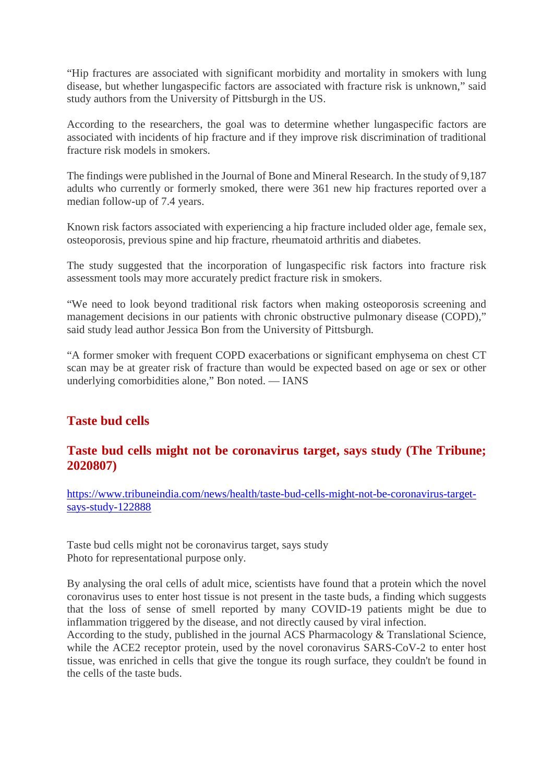"Hip fractures are associated with significant morbidity and mortality in smokers with lung disease, but whether lungaspecific factors are associated with fracture risk is unknown," said study authors from the University of Pittsburgh in the US.

According to the researchers, the goal was to determine whether lungaspecific factors are associated with incidents of hip fracture and if they improve risk discrimination of traditional fracture risk models in smokers.

The findings were published in the Journal of Bone and Mineral Research. In the study of 9,187 adults who currently or formerly smoked, there were 361 new hip fractures reported over a median follow-up of 7.4 years.

Known risk factors associated with experiencing a hip fracture included older age, female sex, osteoporosis, previous spine and hip fracture, rheumatoid arthritis and diabetes.

The study suggested that the incorporation of lungaspecific risk factors into fracture risk assessment tools may more accurately predict fracture risk in smokers.

"We need to look beyond traditional risk factors when making osteoporosis screening and management decisions in our patients with chronic obstructive pulmonary disease (COPD)," said study lead author Jessica Bon from the University of Pittsburgh.

"A former smoker with frequent COPD exacerbations or significant emphysema on chest CT scan may be at greater risk of fracture than would be expected based on age or sex or other underlying comorbidities alone," Bon noted. — IANS

# **Taste bud cells**

# **Taste bud cells might not be coronavirus target, says study (The Tribune; 2020807)**

https://www.tribuneindia.com/news/health/taste-bud-cells-might-not-be-coronavirus-targetsays-study-122888

Taste bud cells might not be coronavirus target, says study Photo for representational purpose only.

By analysing the oral cells of adult mice, scientists have found that a protein which the novel coronavirus uses to enter host tissue is not present in the taste buds, a finding which suggests that the loss of sense of smell reported by many COVID-19 patients might be due to inflammation triggered by the disease, and not directly caused by viral infection.

According to the study, published in the journal ACS Pharmacology & Translational Science, while the ACE2 receptor protein, used by the novel coronavirus SARS-CoV-2 to enter host tissue, was enriched in cells that give the tongue its rough surface, they couldn't be found in the cells of the taste buds.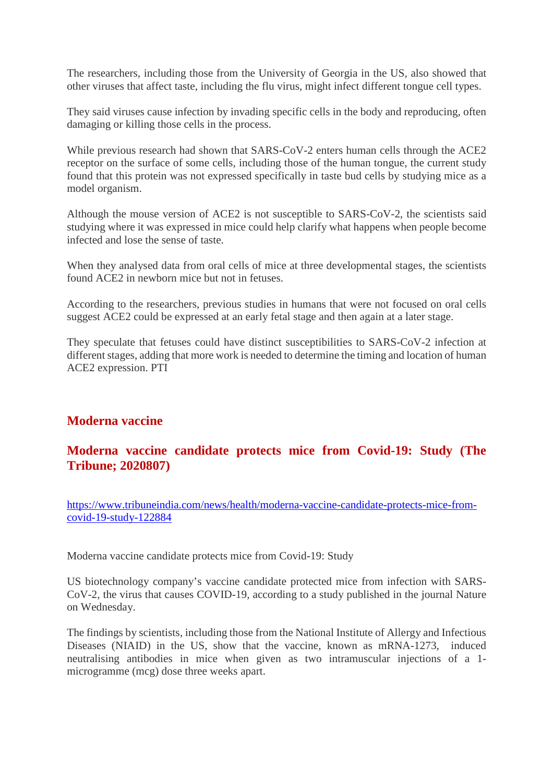The researchers, including those from the University of Georgia in the US, also showed that other viruses that affect taste, including the flu virus, might infect different tongue cell types.

They said viruses cause infection by invading specific cells in the body and reproducing, often damaging or killing those cells in the process.

While previous research had shown that SARS-CoV-2 enters human cells through the ACE2 receptor on the surface of some cells, including those of the human tongue, the current study found that this protein was not expressed specifically in taste bud cells by studying mice as a model organism.

Although the mouse version of ACE2 is not susceptible to SARS-CoV-2, the scientists said studying where it was expressed in mice could help clarify what happens when people become infected and lose the sense of taste.

When they analysed data from oral cells of mice at three developmental stages, the scientists found ACE2 in newborn mice but not in fetuses.

According to the researchers, previous studies in humans that were not focused on oral cells suggest ACE2 could be expressed at an early fetal stage and then again at a later stage.

They speculate that fetuses could have distinct susceptibilities to SARS-CoV-2 infection at different stages, adding that more work is needed to determine the timing and location of human ACE2 expression. PTI

# **Moderna vaccine**

# **Moderna vaccine candidate protects mice from Covid-19: Study (The Tribune; 2020807)**

https://www.tribuneindia.com/news/health/moderna-vaccine-candidate-protects-mice-fromcovid-19-study-122884

Moderna vaccine candidate protects mice from Covid-19: Study

US biotechnology company's vaccine candidate protected mice from infection with SARS-CoV-2, the virus that causes COVID-19, according to a study published in the journal Nature on Wednesday.

The findings by scientists, including those from the National Institute of Allergy and Infectious Diseases (NIAID) in the US, show that the vaccine, known as mRNA-1273, induced neutralising antibodies in mice when given as two intramuscular injections of a 1 microgramme (mcg) dose three weeks apart.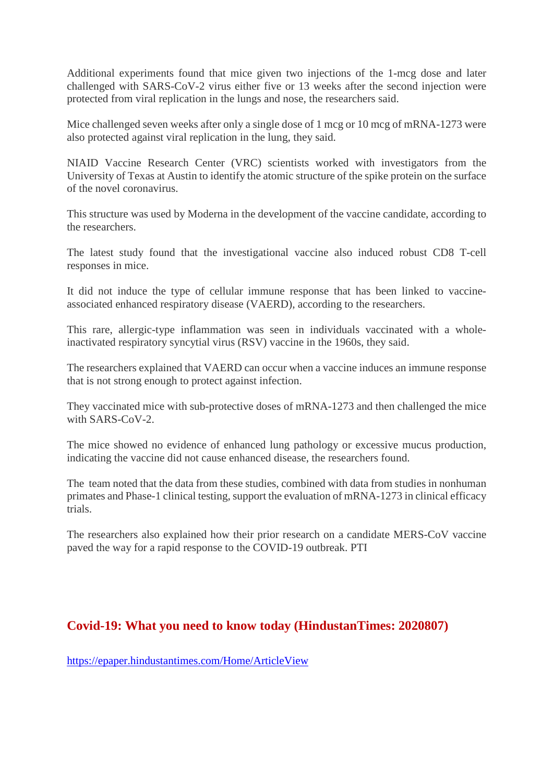Additional experiments found that mice given two injections of the 1-mcg dose and later challenged with SARS-CoV-2 virus either five or 13 weeks after the second injection were protected from viral replication in the lungs and nose, the researchers said.

Mice challenged seven weeks after only a single dose of 1 mcg or 10 mcg of mRNA-1273 were also protected against viral replication in the lung, they said.

NIAID Vaccine Research Center (VRC) scientists worked with investigators from the University of Texas at Austin to identify the atomic structure of the spike protein on the surface of the novel coronavirus.

This structure was used by Moderna in the development of the vaccine candidate, according to the researchers.

The latest study found that the investigational vaccine also induced robust CD8 T-cell responses in mice.

It did not induce the type of cellular immune response that has been linked to vaccineassociated enhanced respiratory disease (VAERD), according to the researchers.

This rare, allergic-type inflammation was seen in individuals vaccinated with a wholeinactivated respiratory syncytial virus (RSV) vaccine in the 1960s, they said.

The researchers explained that VAERD can occur when a vaccine induces an immune response that is not strong enough to protect against infection.

They vaccinated mice with sub-protective doses of mRNA-1273 and then challenged the mice with SARS-CoV-2.

The mice showed no evidence of enhanced lung pathology or excessive mucus production, indicating the vaccine did not cause enhanced disease, the researchers found.

The team noted that the data from these studies, combined with data from studies in nonhuman primates and Phase-1 clinical testing, support the evaluation of mRNA-1273 in clinical efficacy trials.

The researchers also explained how their prior research on a candidate MERS-CoV vaccine paved the way for a rapid response to the COVID-19 outbreak. PTI

# **Covid-19: What you need to know today (HindustanTimes: 2020807)**

https://epaper.hindustantimes.com/Home/ArticleView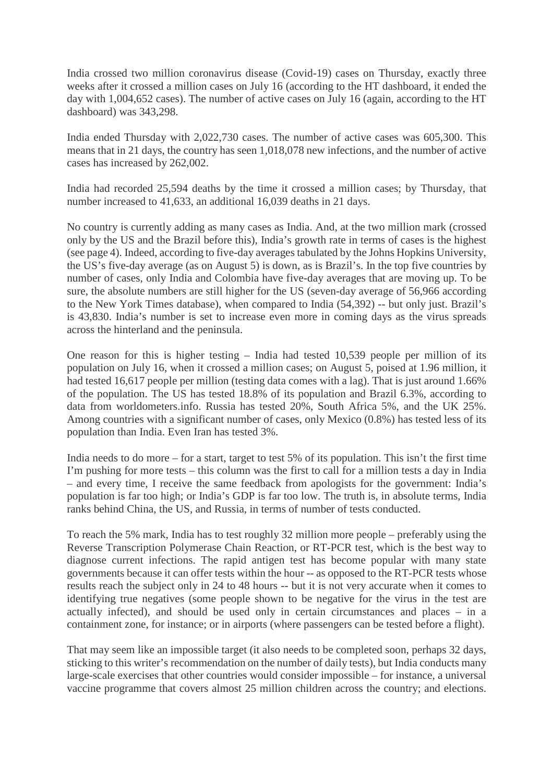India crossed two million coronavirus disease (Covid-19) cases on Thursday, exactly three weeks after it crossed a million cases on July 16 (according to the HT dashboard, it ended the day with 1,004,652 cases). The number of active cases on July 16 (again, according to the HT dashboard) was 343,298.

India ended Thursday with 2,022,730 cases. The number of active cases was 605,300. This means that in 21 days, the country has seen 1,018,078 new infections, and the number of active cases has increased by 262,002.

India had recorded 25,594 deaths by the time it crossed a million cases; by Thursday, that number increased to 41,633, an additional 16,039 deaths in 21 days.

No country is currently adding as many cases as India. And, at the two million mark (crossed only by the US and the Brazil before this), India's growth rate in terms of cases is the highest (see page 4). Indeed, according to five-day averages tabulated by the Johns Hopkins University, the US's five-day average (as on August 5) is down, as is Brazil's. In the top five countries by number of cases, only India and Colombia have five-day averages that are moving up. To be sure, the absolute numbers are still higher for the US (seven-day average of 56,966 according to the New York Times database), when compared to India (54,392) -- but only just. Brazil's is 43,830. India's number is set to increase even more in coming days as the virus spreads across the hinterland and the peninsula.

One reason for this is higher testing – India had tested 10,539 people per million of its population on July 16, when it crossed a million cases; on August 5, poised at 1.96 million, it had tested 16,617 people per million (testing data comes with a lag). That is just around 1.66% of the population. The US has tested 18.8% of its population and Brazil 6.3%, according to data from worldometers.info. Russia has tested 20%, South Africa 5%, and the UK 25%. Among countries with a significant number of cases, only Mexico (0.8%) has tested less of its population than India. Even Iran has tested 3%.

India needs to do more – for a start, target to test 5% of its population. This isn't the first time I'm pushing for more tests – this column was the first to call for a million tests a day in India – and every time, I receive the same feedback from apologists for the government: India's population is far too high; or India's GDP is far too low. The truth is, in absolute terms, India ranks behind China, the US, and Russia, in terms of number of tests conducted.

To reach the 5% mark, India has to test roughly 32 million more people – preferably using the Reverse Transcription Polymerase Chain Reaction, or RT-PCR test, which is the best way to diagnose current infections. The rapid antigen test has become popular with many state governments because it can offer tests within the hour -- as opposed to the RT-PCR tests whose results reach the subject only in 24 to 48 hours -- but it is not very accurate when it comes to identifying true negatives (some people shown to be negative for the virus in the test are actually infected), and should be used only in certain circumstances and places – in a containment zone, for instance; or in airports (where passengers can be tested before a flight).

That may seem like an impossible target (it also needs to be completed soon, perhaps 32 days, sticking to this writer's recommendation on the number of daily tests), but India conducts many large-scale exercises that other countries would consider impossible – for instance, a universal vaccine programme that covers almost 25 million children across the country; and elections.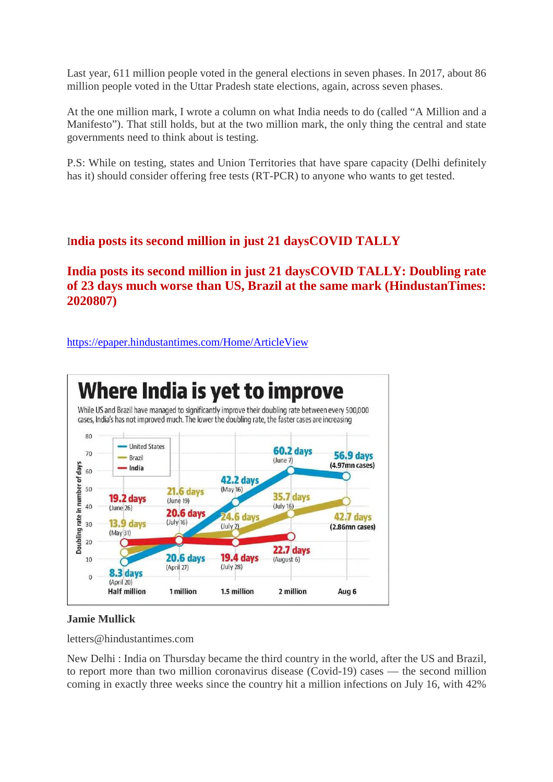Last year, 611 million people voted in the general elections in seven phases. In 2017, about 86 million people voted in the Uttar Pradesh state elections, again, across seven phases.

At the one million mark, I wrote a column on what India needs to do (called "A Million and a Manifesto"). That still holds, but at the two million mark, the only thing the central and state governments need to think about is testing.

P.S: While on testing, states and Union Territories that have spare capacity (Delhi definitely has it) should consider offering free tests (RT-PCR) to anyone who wants to get tested.

# I**ndia posts its second million in just 21 daysCOVID TALLY**

**India posts its second million in just 21 daysCOVID TALLY: Doubling rate of 23 days much worse than US, Brazil at the same mark (HindustanTimes: 2020807)**

https://epaper.hindustantimes.com/Home/ArticleView



#### **Jamie Mullick**

letters@hindustantimes.com

New Delhi : India on Thursday became the third country in the world, after the US and Brazil, to report more than two million coronavirus disease (Covid-19) cases — the second million coming in exactly three weeks since the country hit a million infections on July 16, with 42%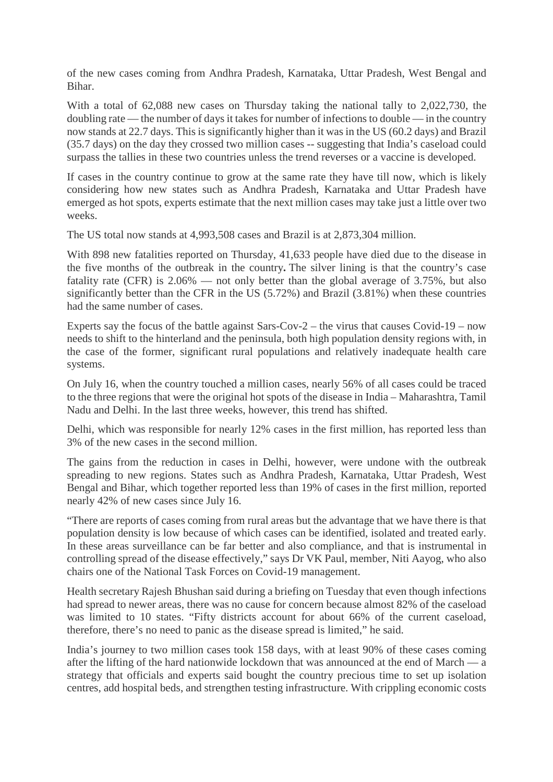of the new cases coming from Andhra Pradesh, Karnataka, Uttar Pradesh, West Bengal and Bihar.

With a total of 62,088 new cases on Thursday taking the national tally to 2,022,730, the doubling rate — the number of days it takes for number of infections to double — in the country now stands at 22.7 days. This is significantly higher than it was in the US (60.2 days) and Brazil (35.7 days) on the day they crossed two million cases -- suggesting that India's caseload could surpass the tallies in these two countries unless the trend reverses or a vaccine is developed.

If cases in the country continue to grow at the same rate they have till now, which is likely considering how new states such as Andhra Pradesh, Karnataka and Uttar Pradesh have emerged as hot spots, experts estimate that the next million cases may take just a little over two weeks.

The US total now stands at 4,993,508 cases and Brazil is at 2,873,304 million.

With 898 new fatalities reported on Thursday, 41,633 people have died due to the disease in the five months of the outbreak in the country**.** The silver lining is that the country's case fatality rate (CFR) is 2.06% — not only better than the global average of 3.75%, but also significantly better than the CFR in the US (5.72%) and Brazil (3.81%) when these countries had the same number of cases.

Experts say the focus of the battle against Sars-Cov-2 – the virus that causes Covid-19 – now needs to shift to the hinterland and the peninsula, both high population density regions with, in the case of the former, significant rural populations and relatively inadequate health care systems.

On July 16, when the country touched a million cases, nearly 56% of all cases could be traced to the three regions that were the original hot spots of the disease in India – Maharashtra, Tamil Nadu and Delhi. In the last three weeks, however, this trend has shifted.

Delhi, which was responsible for nearly 12% cases in the first million, has reported less than 3% of the new cases in the second million.

The gains from the reduction in cases in Delhi, however, were undone with the outbreak spreading to new regions. States such as Andhra Pradesh, Karnataka, Uttar Pradesh, West Bengal and Bihar, which together reported less than 19% of cases in the first million, reported nearly 42% of new cases since July 16.

"There are reports of cases coming from rural areas but the advantage that we have there is that population density is low because of which cases can be identified, isolated and treated early. In these areas surveillance can be far better and also compliance, and that is instrumental in controlling spread of the disease effectively," says Dr VK Paul, member, Niti Aayog, who also chairs one of the National Task Forces on Covid-19 management.

Health secretary Rajesh Bhushan said during a briefing on Tuesday that even though infections had spread to newer areas, there was no cause for concern because almost 82% of the caseload was limited to 10 states. "Fifty districts account for about 66% of the current caseload, therefore, there's no need to panic as the disease spread is limited," he said.

India's journey to two million cases took 158 days, with at least 90% of these cases coming after the lifting of the hard nationwide lockdown that was announced at the end of March — a strategy that officials and experts said bought the country precious time to set up isolation centres, add hospital beds, and strengthen testing infrastructure. With crippling economic costs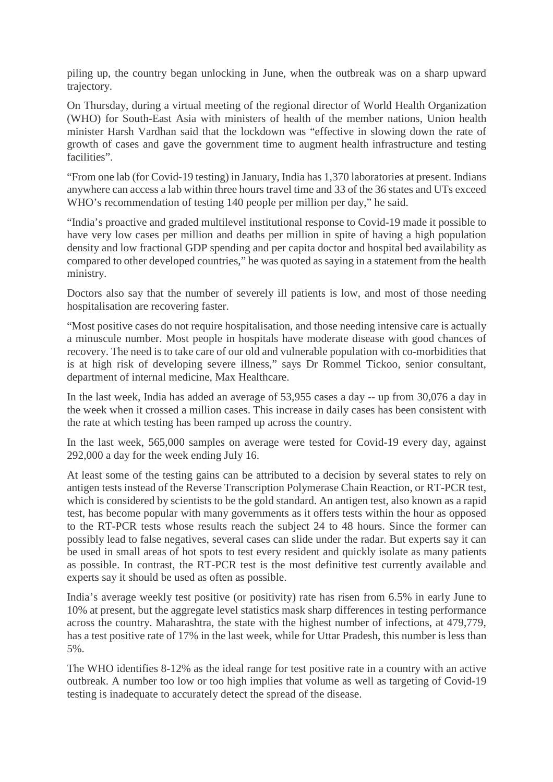piling up, the country began unlocking in June, when the outbreak was on a sharp upward trajectory.

On Thursday, during a virtual meeting of the regional director of World Health Organization (WHO) for South-East Asia with ministers of health of the member nations, Union health minister Harsh Vardhan said that the lockdown was "effective in slowing down the rate of growth of cases and gave the government time to augment health infrastructure and testing facilities".

"From one lab (for Covid-19 testing) in January, India has 1,370 laboratories at present. Indians anywhere can access a lab within three hours travel time and 33 of the 36 states and UTs exceed WHO's recommendation of testing 140 people per million per day," he said.

"India's proactive and graded multilevel institutional response to Covid-19 made it possible to have very low cases per million and deaths per million in spite of having a high population density and low fractional GDP spending and per capita doctor and hospital bed availability as compared to other developed countries," he was quoted as saying in a statement from the health ministry.

Doctors also say that the number of severely ill patients is low, and most of those needing hospitalisation are recovering faster.

"Most positive cases do not require hospitalisation, and those needing intensive care is actually a minuscule number. Most people in hospitals have moderate disease with good chances of recovery. The need is to take care of our old and vulnerable population with co-morbidities that is at high risk of developing severe illness," says Dr Rommel Tickoo, senior consultant, department of internal medicine, Max Healthcare.

In the last week, India has added an average of 53,955 cases a day -- up from 30,076 a day in the week when it crossed a million cases. This increase in daily cases has been consistent with the rate at which testing has been ramped up across the country.

In the last week, 565,000 samples on average were tested for Covid-19 every day, against 292,000 a day for the week ending July 16.

At least some of the testing gains can be attributed to a decision by several states to rely on antigen tests instead of the Reverse Transcription Polymerase Chain Reaction, or RT-PCR test, which is considered by scientists to be the gold standard. An antigen test, also known as a rapid test, has become popular with many governments as it offers tests within the hour as opposed to the RT-PCR tests whose results reach the subject 24 to 48 hours. Since the former can possibly lead to false negatives, several cases can slide under the radar. But experts say it can be used in small areas of hot spots to test every resident and quickly isolate as many patients as possible. In contrast, the RT-PCR test is the most definitive test currently available and experts say it should be used as often as possible.

India's average weekly test positive (or positivity) rate has risen from 6.5% in early June to 10% at present, but the aggregate level statistics mask sharp differences in testing performance across the country. Maharashtra, the state with the highest number of infections, at 479,779, has a test positive rate of 17% in the last week, while for Uttar Pradesh, this number is less than 5%.

The WHO identifies 8-12% as the ideal range for test positive rate in a country with an active outbreak. A number too low or too high implies that volume as well as targeting of Covid-19 testing is inadequate to accurately detect the spread of the disease.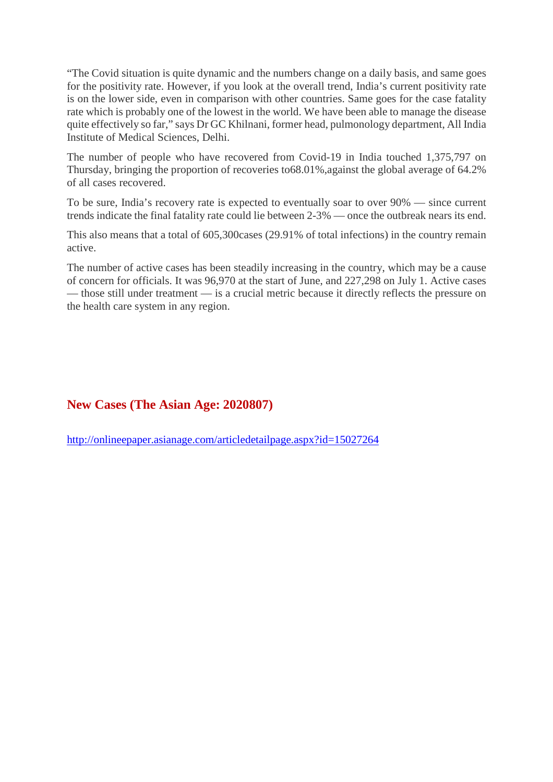"The Covid situation is quite dynamic and the numbers change on a daily basis, and same goes for the positivity rate. However, if you look at the overall trend, India's current positivity rate is on the lower side, even in comparison with other countries. Same goes for the case fatality rate which is probably one of the lowest in the world. We have been able to manage the disease quite effectively so far," says Dr GC Khilnani, former head, pulmonology department, All India Institute of Medical Sciences, Delhi.

The number of people who have recovered from Covid-19 in India touched 1,375,797 on Thursday, bringing the proportion of recoveries to68.01%,against the global average of 64.2% of all cases recovered.

To be sure, India's recovery rate is expected to eventually soar to over 90% — since current trends indicate the final fatality rate could lie between 2-3% — once the outbreak nears its end.

This also means that a total of 605,300cases (29.91% of total infections) in the country remain active.

The number of active cases has been steadily increasing in the country, which may be a cause of concern for officials. It was 96,970 at the start of June, and 227,298 on July 1. Active cases — those still under treatment — is a crucial metric because it directly reflects the pressure on the health care system in any region.

# **New Cases (The Asian Age: 2020807)**

http://onlineepaper.asianage.com/articledetailpage.aspx?id=15027264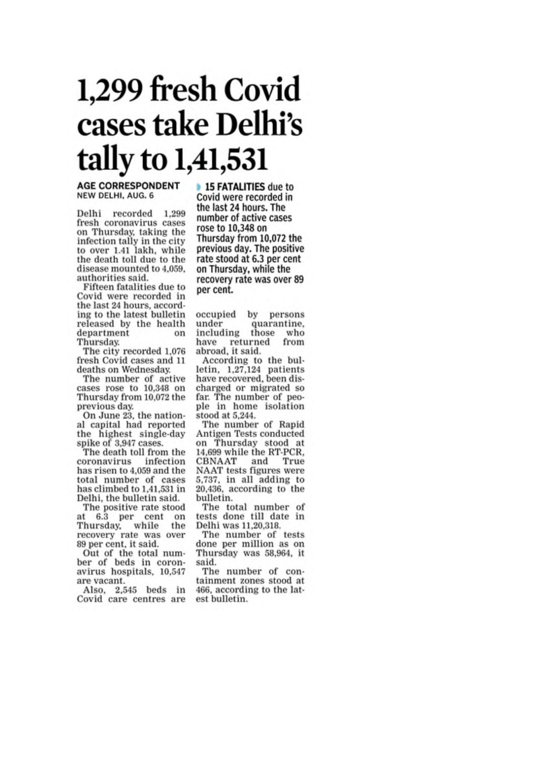# 1,299 fresh Covid cases take Delhi's tally to 1,41,531

#### **AGE CORRESPONDENT** NEW DELHI, AUG. 6

Delhi recorded 1,299 fresh coronavirus cases on Thursday, taking the infection tally in the city to over 1.41 lakh, while<br>the death toll due to the disease mounted to 4,059. authorities said.

Fifteen fatalities due to Covid were recorded in the last 24 hours, according to the latest bulletin released by the health department on Thursday.

The city recorded 1,076 fresh Covid cases and 11 deaths on Wednesday.

The number of active cases rose to 10,348 on Thursday from 10,072 the previous day.

On June 23, the national capital had reported the highest single-day spike of 3,947 cases.

The death toll from the coronavirus infection has risen to 4,059 and the total number of cases has climbed to 1,41,531 in Delhi, the bulletin said.

The positive rate stood at 6.3 per cent on Thursday, while the recovery rate was over 89 per cent, it said.

Out of the total num-<br>ber of beds in coronavirus hospitals, 10,547 are vacant.

Also, 2,545 beds in Covid care centres are

**15 FATALITIES** due to Covid were recorded in the last 24 hours. The number of active cases rose to 10,348 on Thursday from 10,072 the previous day. The positive rate stood at 6.3 per cent on Thursday, while the recovery rate was over 89 per cent.

occupied by persons under quarantine. including those who have returned from abroad, it said.

According to the bulletin, 1,27,124 patients<br>have recovered, been discharged or migrated so far. The number of people in home isolation stood at 5,244.

The number of Rapid Antigen Tests conducted on Thursday stood at 14,699 while the RT-PCR, CBNAAT and True NAAT tests figures were 5,737, in all adding to<br>20,436, according to the bulletin.

The total number of tests done till date in Delhi was 11,20,318.

The number of tests done per million as on Thursday was 58,964, it said.

The number of containment zones stood at 466, according to the latest bulletin.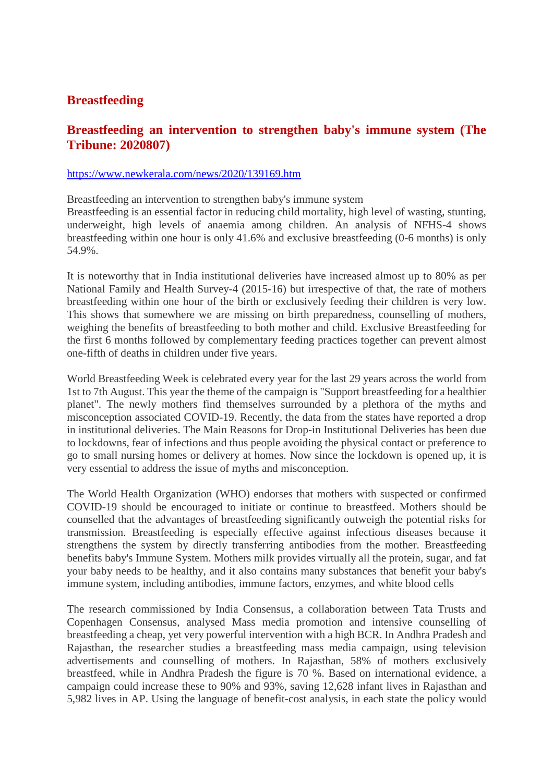# **Breastfeeding**

# **Breastfeeding an intervention to strengthen baby's immune system (The Tribune: 2020807)**

#### https://www.newkerala.com/news/2020/139169.htm

Breastfeeding an intervention to strengthen baby's immune system Breastfeeding is an essential factor in reducing child mortality, high level of wasting, stunting, underweight, high levels of anaemia among children. An analysis of NFHS-4 shows breastfeeding within one hour is only 41.6% and exclusive breastfeeding (0-6 months) is only 54.9%.

It is noteworthy that in India institutional deliveries have increased almost up to 80% as per National Family and Health Survey-4 (2015-16) but irrespective of that, the rate of mothers breastfeeding within one hour of the birth or exclusively feeding their children is very low. This shows that somewhere we are missing on birth preparedness, counselling of mothers, weighing the benefits of breastfeeding to both mother and child. Exclusive Breastfeeding for the first 6 months followed by complementary feeding practices together can prevent almost one-fifth of deaths in children under five years.

World Breastfeeding Week is celebrated every year for the last 29 years across the world from 1st to 7th August. This year the theme of the campaign is "Support breastfeeding for a healthier planet". The newly mothers find themselves surrounded by a plethora of the myths and misconception associated COVID-19. Recently, the data from the states have reported a drop in institutional deliveries. The Main Reasons for Drop-in Institutional Deliveries has been due to lockdowns, fear of infections and thus people avoiding the physical contact or preference to go to small nursing homes or delivery at homes. Now since the lockdown is opened up, it is very essential to address the issue of myths and misconception.

The World Health Organization (WHO) endorses that mothers with suspected or confirmed COVID-19 should be encouraged to initiate or continue to breastfeed. Mothers should be counselled that the advantages of breastfeeding significantly outweigh the potential risks for transmission. Breastfeeding is especially effective against infectious diseases because it strengthens the system by directly transferring antibodies from the mother. Breastfeeding benefits baby's Immune System. Mothers milk provides virtually all the protein, sugar, and fat your baby needs to be healthy, and it also contains many substances that benefit your baby's immune system, including antibodies, immune factors, enzymes, and white blood cells

The research commissioned by India Consensus, a collaboration between Tata Trusts and Copenhagen Consensus, analysed Mass media promotion and intensive counselling of breastfeeding a cheap, yet very powerful intervention with a high BCR. In Andhra Pradesh and Rajasthan, the researcher studies a breastfeeding mass media campaign, using television advertisements and counselling of mothers. In Rajasthan, 58% of mothers exclusively breastfeed, while in Andhra Pradesh the figure is 70 %. Based on international evidence, a campaign could increase these to 90% and 93%, saving 12,628 infant lives in Rajasthan and 5,982 lives in AP. Using the language of benefit-cost analysis, in each state the policy would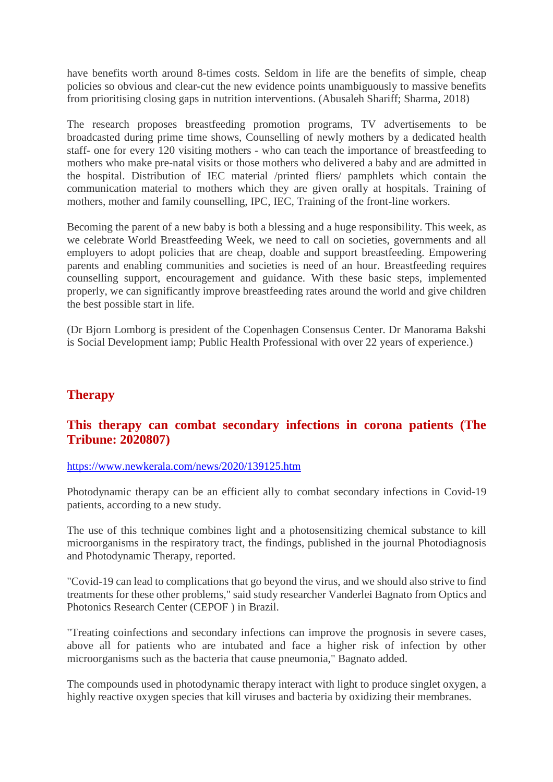have benefits worth around 8-times costs. Seldom in life are the benefits of simple, cheap policies so obvious and clear-cut the new evidence points unambiguously to massive benefits from prioritising closing gaps in nutrition interventions. (Abusaleh Shariff; Sharma, 2018)

The research proposes breastfeeding promotion programs, TV advertisements to be broadcasted during prime time shows, Counselling of newly mothers by a dedicated health staff- one for every 120 visiting mothers - who can teach the importance of breastfeeding to mothers who make pre-natal visits or those mothers who delivered a baby and are admitted in the hospital. Distribution of IEC material /printed fliers/ pamphlets which contain the communication material to mothers which they are given orally at hospitals. Training of mothers, mother and family counselling, IPC, IEC, Training of the front-line workers.

Becoming the parent of a new baby is both a blessing and a huge responsibility. This week, as we celebrate World Breastfeeding Week, we need to call on societies, governments and all employers to adopt policies that are cheap, doable and support breastfeeding. Empowering parents and enabling communities and societies is need of an hour. Breastfeeding requires counselling support, encouragement and guidance. With these basic steps, implemented properly, we can significantly improve breastfeeding rates around the world and give children the best possible start in life.

(Dr Bjorn Lomborg is president of the Copenhagen Consensus Center. Dr Manorama Bakshi is Social Development iamp; Public Health Professional with over 22 years of experience.)

# **Therapy**

# **This therapy can combat secondary infections in corona patients (The Tribune: 2020807)**

#### https://www.newkerala.com/news/2020/139125.htm

Photodynamic therapy can be an efficient ally to combat secondary infections in Covid-19 patients, according to a new study.

The use of this technique combines light and a photosensitizing chemical substance to kill microorganisms in the respiratory tract, the findings, published in the journal Photodiagnosis and Photodynamic Therapy, reported.

"Covid-19 can lead to complications that go beyond the virus, and we should also strive to find treatments for these other problems," said study researcher Vanderlei Bagnato from Optics and Photonics Research Center (CEPOF ) in Brazil.

"Treating coinfections and secondary infections can improve the prognosis in severe cases, above all for patients who are intubated and face a higher risk of infection by other microorganisms such as the bacteria that cause pneumonia," Bagnato added.

The compounds used in photodynamic therapy interact with light to produce singlet oxygen, a highly reactive oxygen species that kill viruses and bacteria by oxidizing their membranes.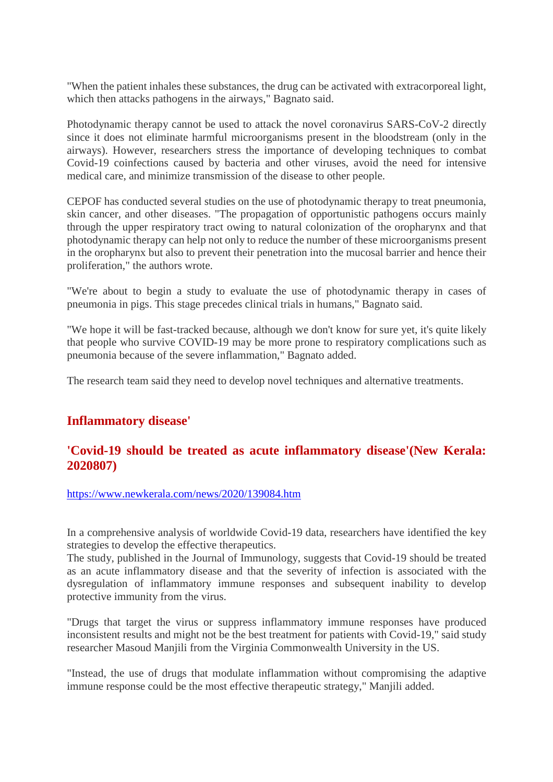"When the patient inhales these substances, the drug can be activated with extracorporeal light, which then attacks pathogens in the airways," Bagnato said.

Photodynamic therapy cannot be used to attack the novel coronavirus SARS-CoV-2 directly since it does not eliminate harmful microorganisms present in the bloodstream (only in the airways). However, researchers stress the importance of developing techniques to combat Covid-19 coinfections caused by bacteria and other viruses, avoid the need for intensive medical care, and minimize transmission of the disease to other people.

CEPOF has conducted several studies on the use of photodynamic therapy to treat pneumonia, skin cancer, and other diseases. "The propagation of opportunistic pathogens occurs mainly through the upper respiratory tract owing to natural colonization of the oropharynx and that photodynamic therapy can help not only to reduce the number of these microorganisms present in the oropharynx but also to prevent their penetration into the mucosal barrier and hence their proliferation," the authors wrote.

"We're about to begin a study to evaluate the use of photodynamic therapy in cases of pneumonia in pigs. This stage precedes clinical trials in humans," Bagnato said.

"We hope it will be fast-tracked because, although we don't know for sure yet, it's quite likely that people who survive COVID-19 may be more prone to respiratory complications such as pneumonia because of the severe inflammation," Bagnato added.

The research team said they need to develop novel techniques and alternative treatments.

# **Inflammatory disease'**

# **'Covid-19 should be treated as acute inflammatory disease'(New Kerala: 2020807)**

#### https://www.newkerala.com/news/2020/139084.htm

In a comprehensive analysis of worldwide Covid-19 data, researchers have identified the key strategies to develop the effective therapeutics.

The study, published in the Journal of Immunology, suggests that Covid-19 should be treated as an acute inflammatory disease and that the severity of infection is associated with the dysregulation of inflammatory immune responses and subsequent inability to develop protective immunity from the virus.

"Drugs that target the virus or suppress inflammatory immune responses have produced inconsistent results and might not be the best treatment for patients with Covid-19," said study researcher Masoud Manjili from the Virginia Commonwealth University in the US.

"Instead, the use of drugs that modulate inflammation without compromising the adaptive immune response could be the most effective therapeutic strategy," Manjili added.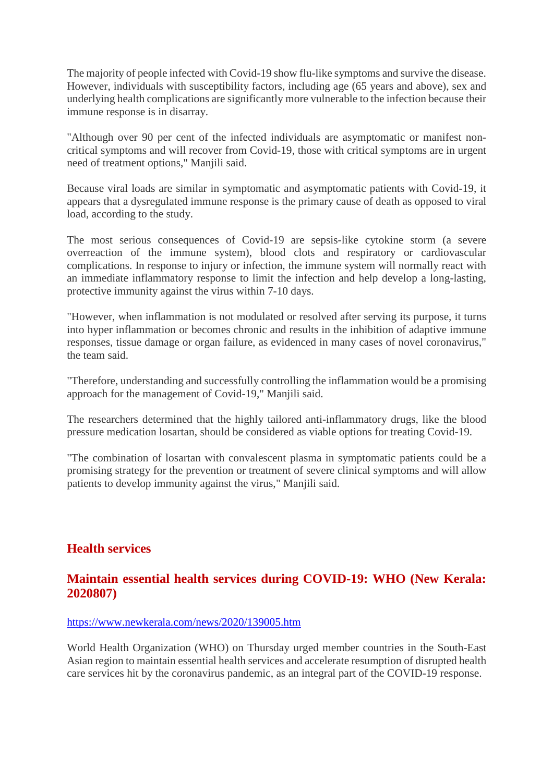The majority of people infected with Covid-19 show flu-like symptoms and survive the disease. However, individuals with susceptibility factors, including age (65 years and above), sex and underlying health complications are significantly more vulnerable to the infection because their immune response is in disarray.

"Although over 90 per cent of the infected individuals are asymptomatic or manifest noncritical symptoms and will recover from Covid-19, those with critical symptoms are in urgent need of treatment options," Manjili said.

Because viral loads are similar in symptomatic and asymptomatic patients with Covid-19, it appears that a dysregulated immune response is the primary cause of death as opposed to viral load, according to the study.

The most serious consequences of Covid-19 are sepsis-like cytokine storm (a severe overreaction of the immune system), blood clots and respiratory or cardiovascular complications. In response to injury or infection, the immune system will normally react with an immediate inflammatory response to limit the infection and help develop a long-lasting, protective immunity against the virus within 7-10 days.

"However, when inflammation is not modulated or resolved after serving its purpose, it turns into hyper inflammation or becomes chronic and results in the inhibition of adaptive immune responses, tissue damage or organ failure, as evidenced in many cases of novel coronavirus," the team said.

"Therefore, understanding and successfully controlling the inflammation would be a promising approach for the management of Covid-19," Manjili said.

The researchers determined that the highly tailored anti-inflammatory drugs, like the blood pressure medication losartan, should be considered as viable options for treating Covid-19.

"The combination of losartan with convalescent plasma in symptomatic patients could be a promising strategy for the prevention or treatment of severe clinical symptoms and will allow patients to develop immunity against the virus," Manjili said.

# **Health services**

# **Maintain essential health services during COVID-19: WHO (New Kerala: 2020807)**

#### https://www.newkerala.com/news/2020/139005.htm

World Health Organization (WHO) on Thursday urged member countries in the South-East Asian region to maintain essential health services and accelerate resumption of disrupted health care services hit by the coronavirus pandemic, as an integral part of the COVID-19 response.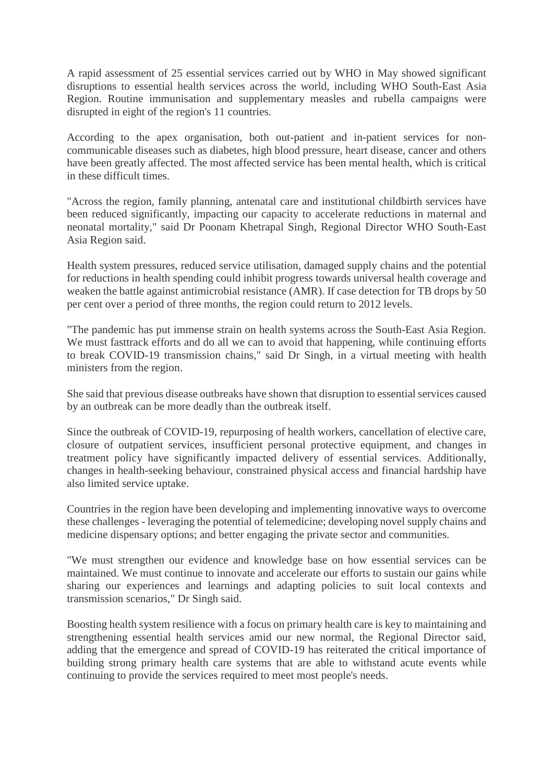A rapid assessment of 25 essential services carried out by WHO in May showed significant disruptions to essential health services across the world, including WHO South-East Asia Region. Routine immunisation and supplementary measles and rubella campaigns were disrupted in eight of the region's 11 countries.

According to the apex organisation, both out-patient and in-patient services for noncommunicable diseases such as diabetes, high blood pressure, heart disease, cancer and others have been greatly affected. The most affected service has been mental health, which is critical in these difficult times.

"Across the region, family planning, antenatal care and institutional childbirth services have been reduced significantly, impacting our capacity to accelerate reductions in maternal and neonatal mortality," said Dr Poonam Khetrapal Singh, Regional Director WHO South-East Asia Region said.

Health system pressures, reduced service utilisation, damaged supply chains and the potential for reductions in health spending could inhibit progress towards universal health coverage and weaken the battle against antimicrobial resistance (AMR). If case detection for TB drops by 50 per cent over a period of three months, the region could return to 2012 levels.

"The pandemic has put immense strain on health systems across the South-East Asia Region. We must fasttrack efforts and do all we can to avoid that happening, while continuing efforts to break COVID-19 transmission chains," said Dr Singh, in a virtual meeting with health ministers from the region.

She said that previous disease outbreaks have shown that disruption to essential services caused by an outbreak can be more deadly than the outbreak itself.

Since the outbreak of COVID-19, repurposing of health workers, cancellation of elective care, closure of outpatient services, insufficient personal protective equipment, and changes in treatment policy have significantly impacted delivery of essential services. Additionally, changes in health-seeking behaviour, constrained physical access and financial hardship have also limited service uptake.

Countries in the region have been developing and implementing innovative ways to overcome these challenges - leveraging the potential of telemedicine; developing novel supply chains and medicine dispensary options; and better engaging the private sector and communities.

"We must strengthen our evidence and knowledge base on how essential services can be maintained. We must continue to innovate and accelerate our efforts to sustain our gains while sharing our experiences and learnings and adapting policies to suit local contexts and transmission scenarios," Dr Singh said.

Boosting health system resilience with a focus on primary health care is key to maintaining and strengthening essential health services amid our new normal, the Regional Director said, adding that the emergence and spread of COVID-19 has reiterated the critical importance of building strong primary health care systems that are able to withstand acute events while continuing to provide the services required to meet most people's needs.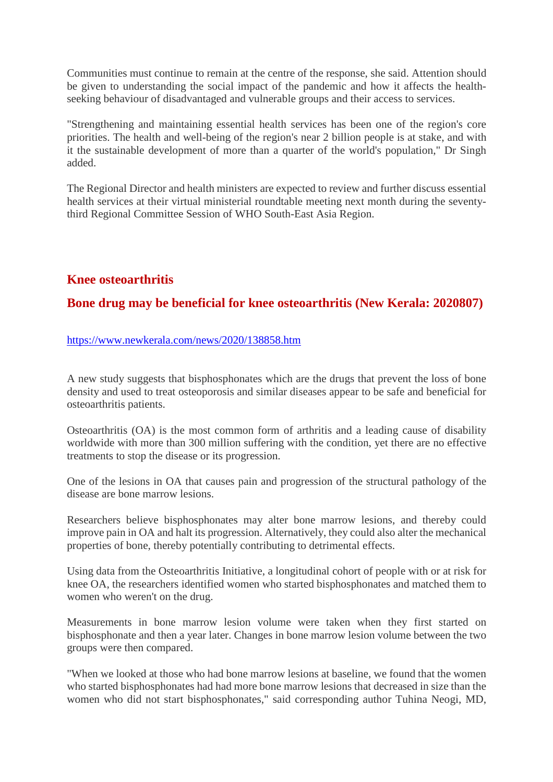Communities must continue to remain at the centre of the response, she said. Attention should be given to understanding the social impact of the pandemic and how it affects the healthseeking behaviour of disadvantaged and vulnerable groups and their access to services.

"Strengthening and maintaining essential health services has been one of the region's core priorities. The health and well-being of the region's near 2 billion people is at stake, and with it the sustainable development of more than a quarter of the world's population," Dr Singh added.

The Regional Director and health ministers are expected to review and further discuss essential health services at their virtual ministerial roundtable meeting next month during the seventythird Regional Committee Session of WHO South-East Asia Region.

# **Knee osteoarthritis**

# **Bone drug may be beneficial for knee osteoarthritis (New Kerala: 2020807)**

#### https://www.newkerala.com/news/2020/138858.htm

A new study suggests that bisphosphonates which are the drugs that prevent the loss of bone density and used to treat osteoporosis and similar diseases appear to be safe and beneficial for osteoarthritis patients.

Osteoarthritis (OA) is the most common form of arthritis and a leading cause of disability worldwide with more than 300 million suffering with the condition, yet there are no effective treatments to stop the disease or its progression.

One of the lesions in OA that causes pain and progression of the structural pathology of the disease are bone marrow lesions.

Researchers believe bisphosphonates may alter bone marrow lesions, and thereby could improve pain in OA and halt its progression. Alternatively, they could also alter the mechanical properties of bone, thereby potentially contributing to detrimental effects.

Using data from the Osteoarthritis Initiative, a longitudinal cohort of people with or at risk for knee OA, the researchers identified women who started bisphosphonates and matched them to women who weren't on the drug.

Measurements in bone marrow lesion volume were taken when they first started on bisphosphonate and then a year later. Changes in bone marrow lesion volume between the two groups were then compared.

"When we looked at those who had bone marrow lesions at baseline, we found that the women who started bisphosphonates had had more bone marrow lesions that decreased in size than the women who did not start bisphosphonates," said corresponding author Tuhina Neogi, MD,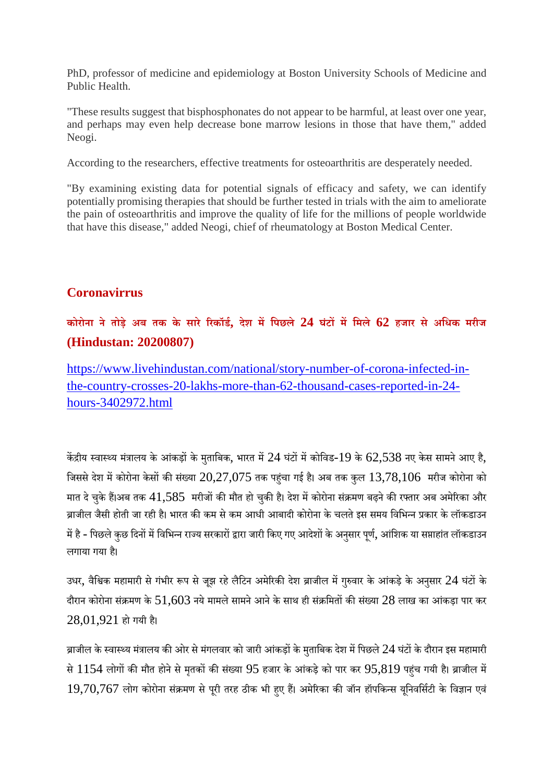PhD, professor of medicine and epidemiology at Boston University Schools of Medicine and Public Health.

"These results suggest that bisphosphonates do not appear to be harmful, at least over one year, and perhaps may even help decrease bone marrow lesions in those that have them," added Neogi.

According to the researchers, effective treatments for osteoarthritis are desperately needed.

"By examining existing data for potential signals of efficacy and safety, we can identify potentially promising therapies that should be further tested in trials with the aim to ameliorate the pain of osteoarthritis and improve the quality of life for the millions of people worldwide that have this disease," added Neogi, chief of rheumatology at Boston Medical Center.

#### **Coronavirrus**

# **कोरोना ने तोड़े अब तक के सारे रकॉड, देश मिपछले 24 घंटमिमले 62 हजार से अिधक मरीज (Hindustan: 20200807)**

https://www.livehindustan.com/national/story-number-of-corona-infected-inthe-country-crosses-20-lakhs-more-than-62-thousand-cases-reported-in-24 hours-3402972.html

केंद्रीय स्वास्थ्य मंत्रालय के आंकड़ों के मुताबिक, भारत में 24 घंटों में कोविड-19 के 62,538 नए केस सामने आए है, जिससे देश में कोरोना केसों की संख्या  $20,27,075$  तक पहंचा गई है। अब तक कुल  $13,78,106$  मरीज कोरोना को मात दे चुके हैं।अब तक  $41,585$  मरीजों की मौत हो चुकी है। देश में कोरोना संक्रमण बढ़ने की रफ्तार अब अमेरिका और ब्राजील जैसी होती जा रही है। भारत की कम से कम आधी आबादी कोरोना के चलते इस समय विभिन्न प्रकार के लॉकडाउन में है - पिछले कछ दिनों में विभिन्न राज्य सरकारों द्वारा जारी किए गए आदेशों के अनसार पर्ण, आंशिक या सप्ताहांत लॉकडाउन लगाया गया ह।ै

उधर, वैश्विक महामारी से गंभीर रूप से जूझ रहे लैटिन अमेरिकी देश ब्राजील में गुरुवार के आंकड़े के अनुसार 24 घंटों के दौरान कोरोना संक्रमण के  $51.603$  नये मामले सामने आने के साथ ही संक्रमितों की संख्या  $28$  लाख का आंकड़ा पार कर  $28,01,921$  हो गयी है।

ब्राजील के स्वास्थ्य मंत्रालय की ओर से मंगलवार को जारी आंकड़ों के मताबिक देश में पिछले  $24$  घंटों के दौरान इस महामारी से  $1154$  लोगों की मौत होने से मृतकों की संख्या  $95$  हजार के आंकड़े को पार कर  $95,819$  पहंच गयी है। ब्राजील में  $19,70,767$  लोग कोरोना संक्रमण से पूरी तरह ठीक भी हुए हैं। अमेरिका की जॉन हॉपकिन्स यूनिवर्सिटी के विज्ञान एवं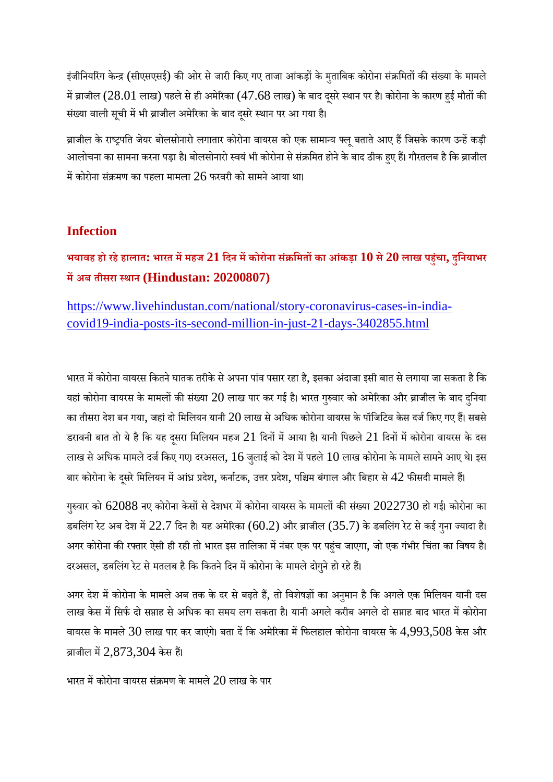इंजीनियरिंग केन्द्र (सीएसएसई) की ओर से जारी किए गए ताजा आंकड़ों के मुताबिक कोरोना संक्रमितों की संख्या के मामले में ब्राजील (28.01 लाख) पहले से ही अमेरिका (47.68 लाख) के बाद दूसरे स्थान पर है। कोरोना के कारण हुई मौतों की संख्या वाली सूची में भी ब्राजील अमेरिका के बाद दूसरे स्थान पर आ गया है।

ब्राजील के राष्ट्रपति जेयर बोलसोनारो लगातार कोरोना वायरस को एक सामान्य फ्लू बताते आए हैं जिसके कारण उन्हें कड़ी आलोचना का सामना करना पड़ा है। बोलसोनारो स्वयं भी कोरोना से संक्रमित होने के बाद ठीक हुए हैं। गौरतलब है कि ब्राजील में कोरोना संक्रमण का पहला मामला  $26$  फरवरी को सामने आया था।

#### **Infection**

भयावह हो रहे हालात: भारत में महज  $21$  दिन में कोरोना संक्रमितों का आंकड़ा  $10$  से  $20$  लाख पहुंचा, दुनियाभर **मअब तीसरा थान (Hindustan: 20200807)**

https://www.livehindustan.com/national/story-coronavirus-cases-in-indiacovid19-india-posts-its-second-million-in-just-21-days-3402855.html

भारत में कोरोना वायरस कितने घातक तरीके से अपना पांव पसार रहा है, इसका अंदाजा इसी बात से लगाया जा सकता है कि यहां कोरोना वायरस के मामलों की संख्या  $20$  लाख पार कर गई है। भारत गुरुवार को अमेरिका और ब्राजील के बाद दुनिया का तीसरा देश बन गया, जहां दो मिलियन यानी  $20$  लाख से अधिक कोरोना वायरस के पॉजिटिव केस दर्ज किए गए हैं। सबसे डरावनी बात तो ये है कि यह दूसरा मिलियन महज 21 दिनों में आया है। यानी पिछले 21 दिनों में कोरोना वायरस के दस लाख से अधिक मामले दर्ज किए गए। दरअसल,  $16$  जुलाई को देश में पहले  $10$  लाख कोरोना के मामले सामने आए थे। इस बार कोरोना के दूसरे मिलियन में आंध्र प्रदेश, कर्नाटक, उत्तर प्रदेश, पश्चिम बंगाल और बिहार से  $42$  फीसदी मामले हैं।

गुरुवार को 62088 नए कोरोना केसों से देशभर में कोरोना वायरस के मामलों की संख्या 2022730 हो गई। कोरोना का डबलिंग रेट अब देश में  $22.7$  दिन है। यह अमेरिका  $(60.2)$  और ब्राजील  $(35.7)$  के डबलिंग रेट से कई गुना ज्यादा है। अगर कोरोना की रफ्तार ऐसी ही रही तो भारत इस तालिका में नंबर एक पर पहुंच जाएगा, जो एक गंभीर चिंता का विषय है। दरअसल, डबलिंग रेट से मतलब है कि कितने दिन में कोरोना के मामले दोगुने हो रहे हैं।

अगर देश में कोरोना के मामले अब तक के दर से बढ़ते हैं, तो विशेषज्ञों का अनुमान है कि अगले एक मिलियन यानी दस लाख केस में सिर्फ दो सप्ताह से अधिक का समय लग सकता है। यानी अगले करीब अगले दो सप्ताह बाद भारत में कोरोना वायरस के मामले 30 लाख पार कर जाएंगे। बता दें कि अमेरिका में फिलहाल कोरोना वायरस के  $4,993,508$  केस और ब्राजील में  $2,873,304$  केस हैं।

भारत में कोरोना वायरस संक्रमण के मामले  $20$  लाख के पार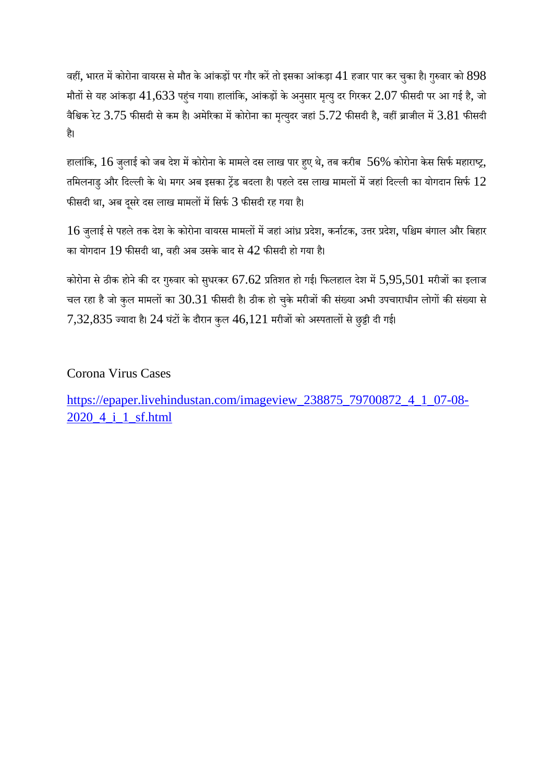वहीं, भारत में कोरोना वायरस से मौत के आंकड़ों पर गौर करें तो इसका आंकड़ा  $41$  हजार पार कर चुका है। गुरुवार को  $898$ मौतों से यह आंकड़ा  $41,633$  पहुंच गया। हालांकि, आंकड़ों के अनुसार मृत्यु दर गिरकर  $2.07$  फीसदी पर आ गई है, जो वैश्विक रेट 3.75 फीसदी से कम है। अमेरिका में कोरोना का मृत्युदर जहां 5.72 फीसदी है, वहीं ब्राजील में 3.81 फीसदी ह।ै

हालांकि,  $16$  जुलाई को जब देश में कोरोना के मामले दस लाख पार हुए थे, तब करीब  $56\%$  कोरोना केस सिर्फ महाराष्ट्र, तमिलनाडु और दिल्ली के थे। मगर अब इसका ट्रेंड बदला है। पहले दस लाख मामलों में जहां दिल्ली का योगदान सिर्फ  $12$ फीसदी था, अब दूसरे दस लाख मामलों में सिर्फ 3 फीसदी रह गया है।

 $16$  जुलाई से पहले तक देश के कोरोना वायरस मामलों में जहां आंध्र प्रदेश, कर्नाटक, उत्तर प्रदेश, पश्चिम बंगाल और बिहार का योगदान 19 फीसदी था, वही अब उसके बाद से  $42$  फीसदी हो गया है।

कोरोना से ठीक होने की दर गुरुवार को सुधरकर 67.62 प्रतिशत हो गई। फिलहाल देश में 5,95,501 मरीजों का इलाज चल रहा है जो कुल मामलों का 30.31 फीसदी है। ठीक हो चुके मरीजों की संख्या अभी उपचाराधीन लोगों की संख्या से  $7,32,835$  ज्यादा है।  $24$  घंटों के दौरान कुल  $46,121$  मरीजों को अस्पतालों से छुट्टी दी गई।

# Corona Virus Cases

https://epaper.livehindustan.com/imageview\_238875\_79700872\_4\_1\_07-08- 2020\_4\_i\_1\_sf.html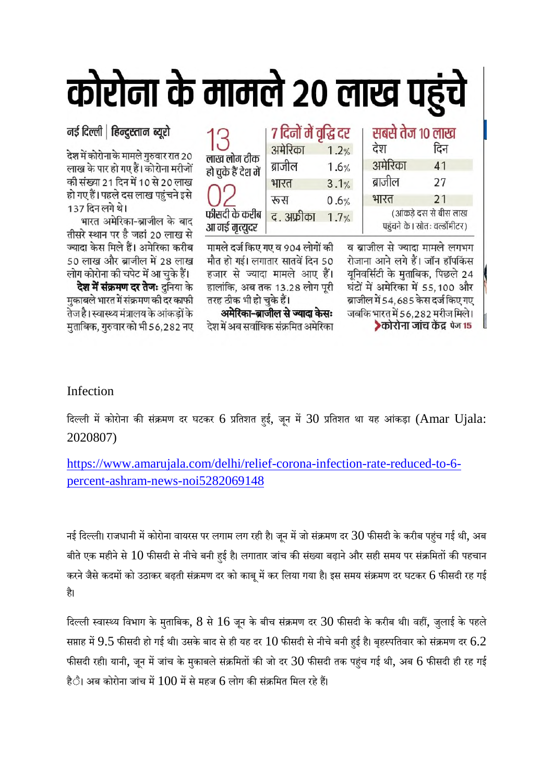# कोरोना के मामले २० लाख पहुं

7 दिनों में वृद्धि दर

द अफ्रीका 1.7%

 $1.2%$ 

 $1.6%$ 

 $3.1%$ 

 $0.6%$ 

अमेरिका

ब्राजील

भारत

रूस

# नई दिल्ली | हिन्दुस्तान ब्यूरो

देश में कोरोना के मामले गुरुवार रात 20 लाख के पार हो गए हैं। कोरोना मरीजों की संख्या 21 दिन में 10 से 20 लाख हो गए हैं। पहले दस लाख पहुंचने इसे 137 दिन लगे थे।

भारत अमेरिका-ब्राजील के बाद तीसरे स्थान पर है जहां 20 लाख से ज्यादा केस मिले हैं। अमेरिका करीब 50 लाख और ब्राजील में 28 लाख लोग कोरोना की चपेट में आ चुके हैं।

**देश में संक्रमण दर तेजः** दनिया के मुकाबले भारत में संक्रमण की दर काफी तेज है। स्वास्थ्य मंत्रालय के आंकडों के मुताबिक, गुरुवार को भी 56,282 नए

| लाख लोग ठीक<br>हो चुके हैं देश में |
|------------------------------------|
|                                    |
| फीसदी के करीब                      |
| आ गई मृत्युदर                      |

| आ ળરુ ળૃત્યુવર ၂                 |
|----------------------------------|
| मामले दर्ज किए गए व 904 लोगों की |
| मौत हो गई। लगातार सातवें दिन 50  |
| हजार से ज्यादा मामले आए हैं।     |
| हालांकि, अब तक 13.28 लोग पूरी    |
| तरह ठीक भी हो चुके हैं।          |

अमेरिका-ब्राजील से ज्यादा केसः देश में अब सर्वाधिक संक्रमित अमेरिका

| सबसे तेज १० लाख<br>देश                                  | दिन |  |
|---------------------------------------------------------|-----|--|
| अमेरिका                                                 | 41  |  |
| ब्राजील                                                 | 27  |  |
| भारत                                                    | 21  |  |
| (आंकड़े दस से बीस लाख<br>पहंचने के। स्रोतः वर्ल्डॉमीटर) |     |  |
|                                                         |     |  |

व ब्राजील से ज्यादा मामले लगभग रोजाना आने लगे हैं। जॉन हॉपकिंस यूनिवर्सिटी के मुताबिक, पिछले 24 घंटों में अमेरिका में 55,100 और ब्राजील में 54,685 केस दर्ज किए गए जबकि भारत में 56.282 मरीज मिले। ▶कोरोना जांच केंद्र पेज 15

# Infection

दिल्ली में कोरोना की संक्रमण दर घटकर 6 प्रतिशत हुई, जून में 30 प्रतिशत था यह आंकड़ा (Amar Ujala: 2020807)

https://www.amarujala.com/delhi/relief-corona-infection-rate-reduced-to-6 percent-ashram-news-noi5282069148

नई दिल्ली। राजधानी में कोरोना वायरस पर लगाम लग रही है। जून में जो संक्रमण दर  $30$  फीसदी के करीब पहंच गई थी, अब बीते एक महीने से  $10$  फीसदी से नीचे बनी हुई है। लगातार जांच की संख्या बढ़ाने और सही समय पर संक्रमितों की पहचान करने जैसे कदमों को उठाकर बढ़ती संक्रमण दर को काबू में कर लिया गया है। इस समय संक्रमण दर घटकर 6 फीसदी रह गई है।

दिल्ली स्वास्थ्य विभाग के मुताबिक,  $8$  से  $16$  जून के बीच संक्रमण दर  $30$  फीसदी के करीब थी। वहीं, जुलाई के पहले सप्ताह में  $9.5$  फीसदी हो गई थी। उसके बाद से ही यह दर  $10$  फीसदी से नीचे बनी हुई है। बृहस्पतिवार को संक्रमण दर  $6.2$ फीसदी रही। यानी, जून में जांच के मुकाबले संक्रमितों की जो दर  $30$  फीसदी तक पहुंच गई थी, अब  $6$  फीसदी ही रह गई हैै। अब कोरोना जांच में  $100$  में से महज 6 लोग की संक्रमित मिल रहे हैं।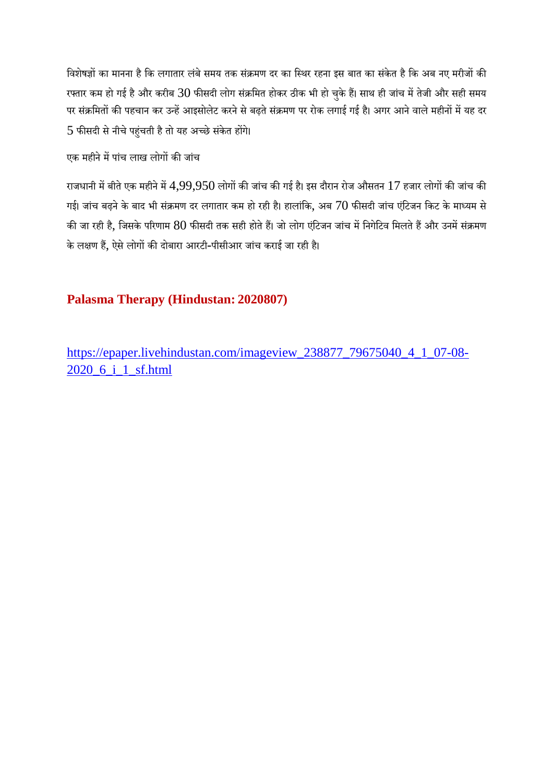विशेषज्ञों का मानना है कि लगातार लंबे समय तक संक्रमण दर का स्थिर रहना इस बात का संकेत है कि अब नए मरीजों की रफ्तार कम हो गई है और करीब  $30$  फीसदी लोग संक्रमित होकर ठीक भी हो चुके हैं। साथ ही जांच में तेजी और सही समय पर संक्रमितों की पहचान कर उन्हें आइसोलेट करने से बढ़ते संक्रमण पर रोक लगाई गई है। अगर आने वाले महीनों में यह दर  $5$  फीसदी से नीचे पहुंचती है तो यह अच्छे संकेत होंगे।

# एक महीने में पांच लाख लोगों की जांच

राजधानी में बीते एक महीने में  $4,99,950$  लोगों की जांच की गई है। इस दौरान रोज औसतन  $17$  हजार लोगों की जांच की गई। जांच बढ़ने के बाद भी संक्रमण दर लगातार कम हो रही है। हालांकि, अब 70 फीसदी जांच एंटिजन किट के माध्यम से की जा रही है, जिसके परिणाम  $80$  फीसदी तक सही होते हैं। जो लोग एंटिजन जांच में निगेटिव मिलते हैं और उनमें संक्रमण के लक्षण हैं, ऐसे लोगों की दोबारा आरटी-पीसीआर जांच कराई जा रही है।

# **Palasma Therapy (Hindustan: 2020807)**

https://epaper.livehindustan.com/imageview\_238877\_79675040\_4\_1\_07-08- 2020\_6\_i\_1\_sf.html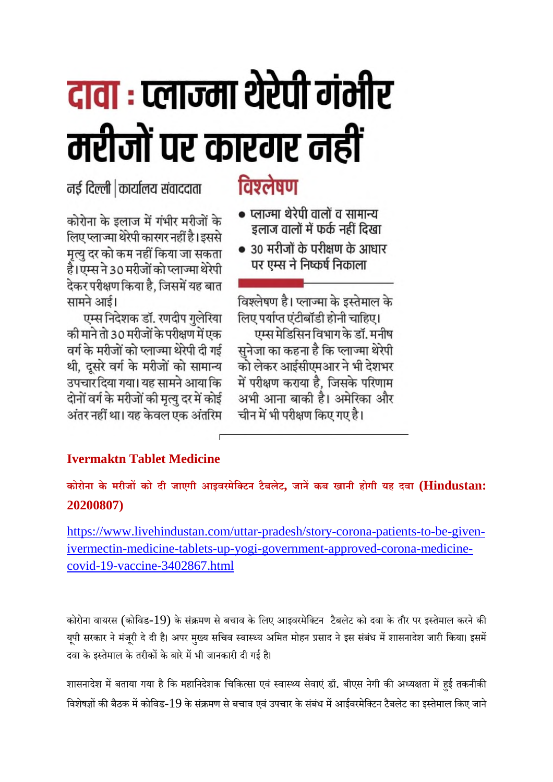# दावा : प्लाज्मा थेरेपी गंभीर मरीजों पर कारगर नहीं

नई दिल्ली कार्यालय संवाददाता

कोरोना के इलाज में गंभीर मरीजों के लिए प्लाज्मा थेरेपी कारगर नहीं है। इससे मृत्यु दर को कम नहीं किया जा सकता है।एम्स ने 30 मरीजों को प्लाज्मा थेरेपी देकर परीक्षण किया है. जिसमें यह बात सामने आई।

एम्स निदेशक डॉ. रणदीप गुलेरिया की माने तो 30 मरीजों के परीक्षण में एक वर्ग के मरीजों को प्लाज्मा थेरेपी दी गई थी, दूसरे वर्ग के मरीजों को सामान्य उपचार दिया गया। यह सामने आया कि दोनों वर्ग के मरीजों की मृत्यु दर में कोई अंतर नहीं था। यह केवल एक अंतरिम

# विश्लेषण

- प्लाज्मा थेरेपी वालों व सामान्य इलाज वालों में फर्क नहीं दिखा
- 30 मरीजों के परीक्षण के आधार पर एम्स ने निष्कर्ष निकाला

विश्लेषण है। प्लाज्मा के इस्तेमाल के लिए पर्याप्त एंटीबॉडी होनी चाहिए। एम्स मेडिसिन विभाग के डॉ. मनीष सुनेजा का कहना है कि प्लाज्मा थेरेपी को लेकर आईसीएमआर ने भी देशभर में परीक्षण कराया है. जिसके परिणाम अभी आना बाकी है। अमेरिका और चीन में भी परीक्षण किए गए है।

# **Ivermaktn Tablet Medicine**

**कोरोना के मरीजको दी जाएगी आइवरमेिटन टैबलेट, जानकब खानी होगी यह दवा (Hindustan: 20200807)**

https://www.livehindustan.com/uttar-pradesh/story-corona-patients-to-be-givenivermectin-medicine-tablets-up-yogi-government-approved-corona-medicinecovid-19-vaccine-3402867.html

कोरोना वायरस (कोविड-19) के संक्रमण से बचाव के लिए आइवरमेक्टिन टैबलेट को दवा के तौर पर इस्तेमाल करने की यूपी सरकार ने मंजूरी दे दी है। अपर मुख्य सचिव स्वास्थ्य अमित मोहन प्रसाद ने इस संबंध में शासनादेश जारी किया। इसमें दवा के इस्तेमाल के तरीकों के बारे में भी जानकारी दी गई है।

शासनादेश में बताया गया है कि महानिदेशक चिकित्सा एवं स्वास्थ्य सेवाएं डॉ. बीएस नेगी की अध्यक्षता में हुई तकनीकी विशेषज्ञों की बैठक में कोविड-19 के संक्रमण से बचाव एवं उपचार के संबंध में आईवरमेक्टिन टैबलेट का इस्तेमाल किए जाने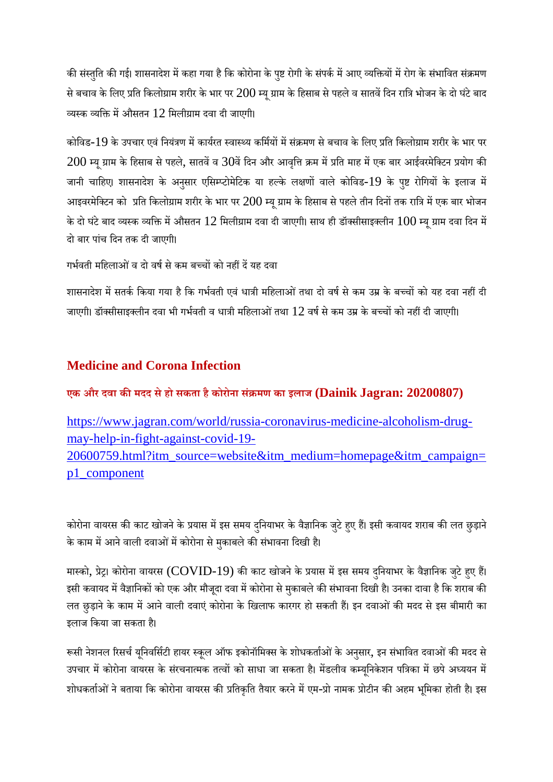की संस्तुति की गई। शासनादेश में कहा गया है कि कोरोना के पुष्ट रोगी के संपर्क में आए व्यक्तियों में रोग के संभावित संक्रमण से बचाव के लिए प्रति किलोग्राम शरीर के भार पर  $200$  म्यू ग्राम के हिसाब से पहले व सातवें दिन रात्रि भोजन के दो घंटे बाद व्यस्क व्यक्ति में औसतन  $12$  मिलीग्राम दवा दी जाएगी।

कोविड-19 के उपचार एवं नियंत्रण में कार्यरत स्वास्थ्य कर्मियों में संक्रमण से बचाव के लिए प्रति किलोग्राम शरीर के भार पर  $200$  म्यू ग्राम के हिसाब से पहले, सातवें व  $30$ वें दिन और आवृत्ति क्रम में प्रति माह में एक बार आईवरमेक्टिन प्रयोग की जानी चाहिए। शासनादेश के अनुसार एसिम्प्टोमेटिक या हल्के लक्षणों वाले कोविड-19 के पुष्ट रोगियों के इलाज में आइवरमेक्टिन को प्रति किलोग्राम शरीर के भार पर  $200$  म्यू ग्राम के हिसाब से पहले तीन दिनों तक रात्रि में एक बार भोजन के दो घंटे बाद व्यस्क व्यक्ति में औसतन  $12$  मिलीग्राम दवा दी जाएगी। साथ ही डॉक्सीसाइक्लीन  $100$  म्यू ग्राम दवा दिन में दो बार पांच िदन तक दी जाएगी।

गर्भवती महिलाओं व दो वर्ष से कम बच्चों को नहीं दें यह दवा

शासनादेश में सतर्क किया गया है कि गर्भवती एवं धात्री महिलाओं तथा दो वर्ष से कम उम्र के बच्चों को यह दवा नहीं दी जाएगी। डॉक्सीसाइक्लीन दवा भी गर्भवती व धात्री महिलाओं तथा  $12$  वर्ष से कम उम्र के बच्चों को नहीं दी जाएगी।

# **Medicine and Corona Infection**

**एक और दवा कमदद सेहो सकता हैकोरोना सं मण का इलाज (Dainik Jagran: 20200807)**

https://www.jagran.com/world/russia-coronavirus-medicine-alcoholism-drugmay-help-in-fight-against-covid-19- 20600759.html?itm\_source=website&itm\_medium=homepage&itm\_campaign= p1\_component

कोरोना वायरस की काट खोजने के प्रयास में इस समय दुनियाभर के वैज्ञानिक जुटे हुए हैं। इसी कवायद शराब की लत छुड़ाने के काम में आने वाली दवाओं में कोरोना से मुकाबले की संभावना दिखी है।

मास्को, प्रेट्र। कोरोना वायरस (COVID-19) की काट खोजने के प्रयास में इस समय दुनियाभर के वैज्ञानिक जुटे हुए हैं। इसी कवायद में वैज्ञानिकों को एक और मौजूदा दवा में कोरोना से मुकाबले की संभावना दिखी है। उनका दावा है कि शराब की लत छुड़ाने के काम में आने वाली दवाएं कोरोना के खिलाफ कारगर हो सकती हैं। इन दवाओं की मदद से इस बीमारी का इलाज किया जा सकता है।

रूसी नेशनल रिसर्च यूनिवर्सिटी हायर स्कूल ऑफ इकोनॉमिक्स के शोधकर्ताओं के अनुसार, इन संभावित दवाओं की मदद से उपचार में कोरोना वायरस के संरचनात्मक तत्वों को साधा जा सकता है। मेंडलीव कम्यूनिकेशन पत्रिका में छपे अध्ययन में शोधकर्ताओं ने बताया कि कोरोना वायरस की प्रतिकृति तैयार करने में एम-प्रो नामक प्रोटीन की अहम भूमिका होती है। इस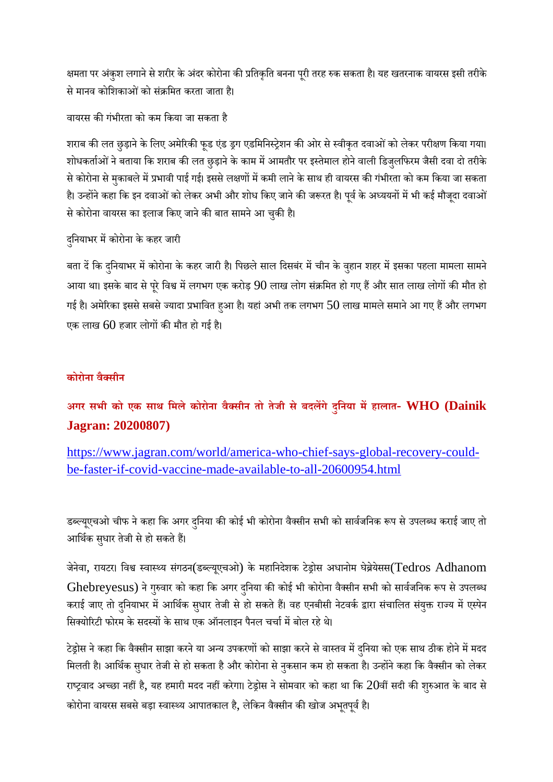क्षमता पर अंकुश लगाने से शरीर के अंदर कोरोना की प्रतिकृति बनना पूरी तरह रुक सकता है। यह खतरनाक वायरस इसी तरीके से मानव कोशिकाओं को संक्रमित करता जाता है।

वायरस कगंभीरता को कम िकया जा सकता है

शराब की लत छुड़ाने के लिए अमेरिकी फूड एंड ड्रग एडमिनिस्ट्रेशन की ओर से स्वीकृत दवाओं को लेकर परीक्षण किया गया। शोधकर्ताओं ने बताया कि शराब की लत छुड़ाने के काम में आमतौर पर इस्तेमाल होने वाली डिजुलफिरम जैसी दवा दो तरीके से कोरोना से मुकाबले में प्रभावी पाई गई। इससे लक्षणों में कमी लाने के साथ ही वायरस की गंभीरता को कम किया जा सकता है। उन्होंने कहा कि इन दवाओं को लेकर अभी और शोध किए जाने की जरूरत है। पूर्व के अध्ययनों में भी कई मौजूदा दवाओं से कोरोना वायरस का इलाज किए जाने की बात सामने आ चुकी है।

दनियाभर में कोरोना के कहर जारी

बता दें कि दुनियाभर में कोरोना के कहर जारी है। पिछले साल दिसबंर में चीन के वुहान शहर में इसका पहला मामला सामने आया था। इसके बाद से पूरे विश्व में लगभग एक करोड़ 90 लाख लोग संक्रमित हो गए हैं और सात लाख लोगों की मौत हो गई है। अमेरिका इससे सबसे ज्यादा प्रभावित हुआ है। यहां अभी तक लगभग  $50$  लाख मामले समाने आ गए हैं और लगभग एक लाख  $60$  हजार लोगों की मौत हो गई है।

# **कोरोना वैसीन**

**अगर सभी को एक साथ िमलेकोरोना वैसीन तो तेजी सेबदलगे दुिनया महालात- WHO (Dainik Jagran: 20200807)**

https://www.jagran.com/world/america-who-chief-says-global-recovery-couldbe-faster-if-covid-vaccine-made-available-to-all-20600954.html

डब्ल्यूएचओ चीफ ने कहा कि अगर दुनिया की कोई भी कोरोना वैक्सीन सभी को सार्वजनिक रूप से उपलब्ध कराई जाए तो आर्थिक सुधार तेजी से हो सकते हैं।

जेनेवा, रायटर। विश्व स्वास्थ्य संगठन(डब्ल्यूएचओ) के महानिदेशक टेड्रोस अधानोम घेब्रेयेसस(Tedros Adhanom Ghebreyesus) ने गुरुवार को कहा कि अगर दुनिया की कोई भी कोरोना वैक्सीन सभी को सार्वजनिक रूप से उपलब्ध कराई जाए तो दुनियाभर में आर्थिक सुधार तेजी से हो सकते हैं। वह एनबीसी नेटवर्क द्वारा संचालित संयुक्त राज्य में एस्पेन सिक्योरिटी फोरम के सदस्यों के साथ एक ऑनलाइन पैनल चर्चा में बोल रहे थे।

टेड्रोस ने कहा कि वैक्सीन साझा करने या अन्य उपकरणों को साझा करने से वास्तव में दुनिया को एक साथ ठीक होने में मदद मिलती है। आर्थिक सुधार तेजी से हो सकता है और कोरोना से नुकसान कम हो सकता है। उन्होंने कहा कि वैक्सीन को लेकर राष्ट्रवाद अच्छा नहीं है, यह हमारी मदद नहीं करेगा। टेड्रोस ने सोमवार को कहा था कि 20वीं सदी की शुरुआत के बाद से कोरोना वायरस सबसे बड़ा स्वास्थ्य आपातकाल है, लेकिन वैक्सीन की खोज अभृतपूर्व है।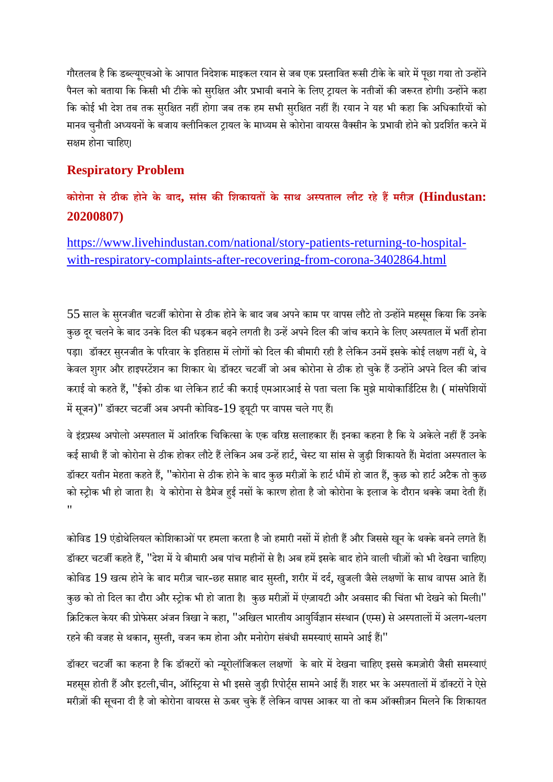गौरतलब है कि डब्ल्यूएचओ के आपात निदेशक माइकल रयान से जब एक प्रस्तावित रूसी टीके के बारे में पूछा गया तो उन्होंने पैनल को बताया कि किसी भी टीके को सुरक्षित और प्रभावी बनाने के लिए ट्रायल के नतीजों की जरूरत होगी। उन्होंने कहा कि कोई भी देश तब तक सुरक्षित नहीं होगा जब तक हम सभी सुरक्षित नहीं हैं। रयान ने यह भी कहा कि अधिकारियों को मानव चुनौती अध्ययनों के बजाय क्लीनिकल ट्रायल के माध्यम से कोरोना वायरस वैक्सीन के प्रभावी होने को प्रदर्शित करने में सक्षम होना चाहिए।

# **Respiratory Problem**

**कोरोना से ठीक होनेके बाद, सांस किशकायतके साथ अपताल लौट रहे हमरीज़ (Hindustan: 20200807)**

https://www.livehindustan.com/national/story-patients-returning-to-hospitalwith-respiratory-complaints-after-recovering-from-corona-3402864.html

 $55$  साल के सुरनजीत चटर्जी कोरोना से ठीक होने के बाद जब अपने काम पर वापस लौटे तो उन्होंने महसूस किया कि उनके कुछ दूर चलने के बाद उनके दिल की धड़कन बढ़ने लगती है। उन्हें अपने दिल की जांच कराने के लिए अस्पताल में भर्ती होना पड़ा। डॉक्टर सुरनजीत के परिवार के इतिहास में लोगों को दिल की बीमारी रही है लेकिन उनमें इसके कोई लक्षण नहीं थे, वे केवल शुगर और हाइपरटेंशन का शिकार थे। डॉक्टर चटर्जी जो अब कोरोना से ठीक हो चुके हैं उन्होंने अपने दिल की जांच कराई वो कहते हैं, "ईको ठीक था लेकिन हार्ट की कराई एमआरआई से पता चला कि मुझे मायोकार्डिटिस है। ( मांसपेशियों में सूजन)" डॉक्टर चटर्जी अब अपनी कोविड-19 ड्यूटी पर वापस चले गए हैं।

वे इंद्रप्रस्थ अपोलो अस्पताल में आंतरिक चिकित्सा के एक वरिष्ठ सलाहकार हैं। इनका कहना है कि ये अकेले नहीं हैं उनके कई साथी हैं जो कोरोना से ठीक होकर लौटे हैं लेकिन अब उन्हें हार्ट, चेस्ट या सांस से जुड़ी शिकायते हैं। मेदांता अस्पताल के डॉक्टर यतीन मेहता कहते हैं, "कोरोना से ठीक होने के बाद कुछ मरीज़ों के हार्ट धीमें हो जात हैं, कुछ को हार्ट अटैक तो कुछ को स्ट्रोक भी हो जाता है। ये कोरोना से डैमेज हुई नसों के कारण होता है जो कोरोना के इलाज के दौरान थक्के जमा देती हैं। "

कोविड 19 एंडोथेलियल कोशिकाओं पर हमला करता है जो हमारी नसों में होती हैं और जिससे खून के थक्के बनने लगते हैं। डॉक्टर चटर्जी कहते हैं, "देश में ये बीमारी अब पांच महीनों से है। अब हमें इसके बाद होने वाली चीज़ों को भी देखना चाहिए। कोविड 19 खत्म होने के बाद मरीज़ चार-छह सप्ताह बाद सुस्ती, शरीर में दर्द, खुजली जैसे लक्षणों के साथ वापस आते हैं। कुछ को तो दिल का दौरा और स्ट्रोक भी हो जाता है। कुछ मरीज़ों में एंज़ायटी और अवसाद की चिंता भी देखने को मिली।" क्रिटिकल केयर की प्रोफेसर अंजन त्रिखा ने कहा, "अखिल भारतीय आयुर्विज्ञान संस्थान (एम्स) से अस्पतालों में अलग-थलग रहने की वजह से थकान, सुस्ती, वजन कम होना और मनोरोग संबंधी समस्याएं सामने आई हैं।"

डॉक्टर चटर्जी का कहना है कि डॉक्टरों को न्यूरोलॉजिकल लक्षणों के बारे में देखना चाहिए इससे कमज़ोरी जैसी समस्याएं महसूस होती हैं और इटली,चीन, ऑस्ट्रिया से भी इससे जुड़ी रिपोर्ट्स सामने आई हैं। शहर भर के अस्पतालों में डॉक्टरों ने ऐसे मरीज़ों की सूचना दी है जो कोरोना वायरस से ऊबर चुके हैं लेकिन वापस आकर या तो कम ऑक्सीज़न मिलने कि शिकायत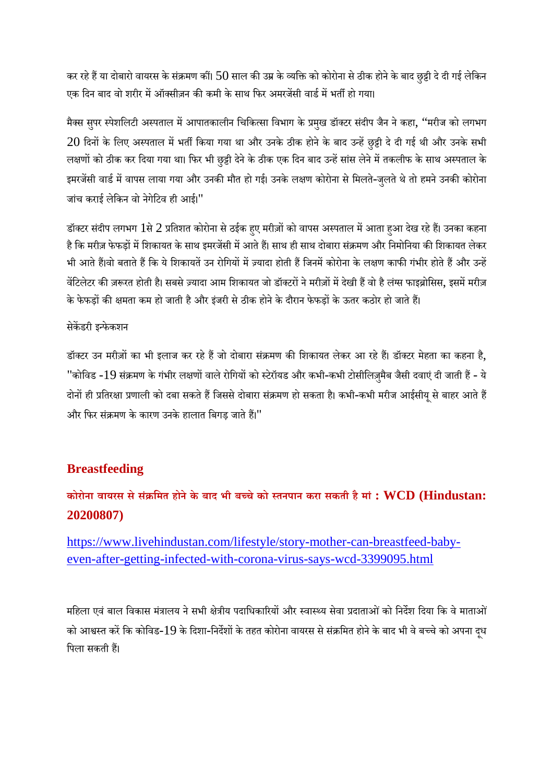कर रहे हैं या दोबारो वायरस के संक्रमण कीं।  $50$  साल की उम्र के व्यक्ति को कोरोना से ठीक होने के बाद छुट्टी दे दी गई लेकिन एक दिन बाद वो शरीर में ऑक्सीज़न की कमी के साथ फिर अमरजेंसी वार्ड में भर्ती हो गया।

मैक्स सुपर स्पेशलिटी अस्पताल में आपातकालीन चिकित्सा विभाग के प्रमुख डॉक्टर संदीप जैन ने कहा, ''मरीज को लगभग  $20$  दिनों के लिए अस्पताल में भर्ती किया गया था और उनके ठीक होने के बाद उन्हें छुट्टी दे दी गई थी और उनके सभी लक्षणों को ठीक कर दिया गया था। फिर भी छुट्टी देने के ठीक एक दिन बाद उन्हें सांस लेने में तकलीफ के साथ अस्पताल के इमरजेंसी वार्ड में वापस लाया गया और उनकी मौत हो गई। उनके लक्षण कोरोना से मिलते-जुलते थे तो हमने उनकी कोरोना जांच कराई लेिकन वो नेगेिटव ही आई।"

डॉक्टर संदीप लगभग 1से 2 प्रतिशत कोरोना से ठईक हुए मरीज़ों को वापस अस्पताल में आता हुआ देख रहे हैं। उनका कहना है कि मरीज़ फेफड़ों में शिकायत के साथ इमरजेंसी में आते हैं। साथ ही साथ दोबारा संक्रमण और निमोनिया की शिकायत लेकर भी आते हैं।वो बताते हैं कि ये शिकायतें उन रोगियों में ज़्यादा होती हैं जिनमें कोरोना के लक्षण काफी गंभीर होते हैं और उन्हें वेंटिलेटर की ज़रूरत होती है। सबसे ज़्यादा आम शिकायत जो डॉक्टरों ने मरीज़ों में देखी हैं वो है लंग्स फाइब्रोसिस, इसमें मरीज़ के फेफड़ों की क्षमता कम हो जाती है और इंजरी से ठीक होने के दौरान फेफड़ों के ऊतर कठोर हो जाते हैं।

#### सेकडरी इफेकशन

डॉक्टर उन मरीज़ों का भी इलाज कर रहे हैं जो दोबारा संक्रमण की शिकायत लेकर आ रहे हैं। डॉक्टर मेहता का कहना है, "कोविड -19 संक्रमण के गंभीर लक्षणों वाले रोगियों को स्टेरॉयड और कभी-कभी टोसीलिज़्मैब जैसी दवाएं दी जाती हैं - ये दोनों ही प्रतिरक्षा प्रणाली को दबा सकते हैं जिससे दोबारा संक्रमण हो सकता है। कभी-कभी मरीज आईसीयू से बाहर आते हैं और फिर संक्रमण के कारण उनके हालात बिगड़ जाते हैं।"

# **Breastfeeding**

# **कोरोना वायरस सेसं िमत होनेके बाद भी बचेको तनपान करा सकती हैमां : WCD (Hindustan: 20200807)**

https://www.livehindustan.com/lifestyle/story-mother-can-breastfeed-babyeven-after-getting-infected-with-corona-virus-says-wcd-3399095.html

महिला एवं बाल विकास मंत्रालय ने सभी क्षेत्रीय पदाधिकारियों और स्वास्थ्य सेवा प्रदाताओं को निर्देश दिया कि वे माताओं को आश्वस्त करें कि कोविड-19 के दिशा-निर्देशों के तहत कोरोना वायरस से संक्रमित होने के बाद भी वे बच्चे को अपना दूध पिला सकती हैं।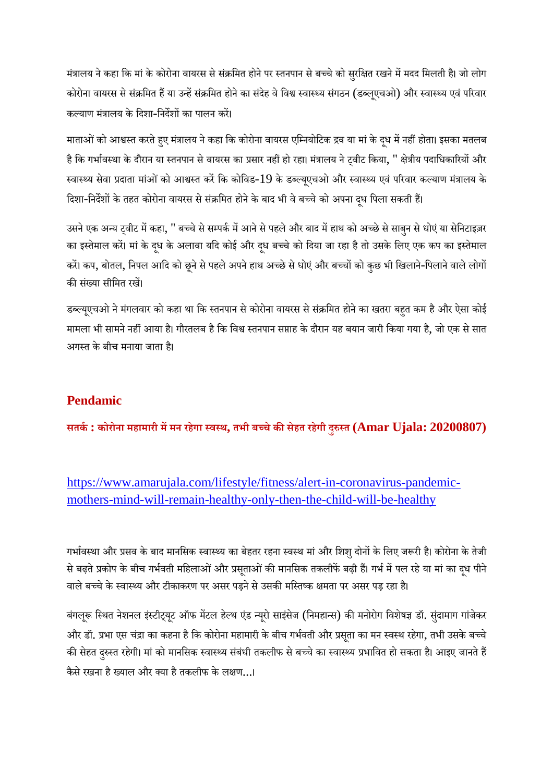मंत्रालय ने कहा कि मां के कोरोना वायरस से संक्रमित होने पर स्तनपान से बच्चे को सुरक्षित रखने में मदद मिलती है। जो लोग कोरोना वायरस से संक्रमित हैं या उन्हें संक्रमित होने का संदेह वे विश्व स्वास्थ्य संगठन (डब्लूएचओ) और स्वास्थ्य एवं परिवार कल्याण मंत्रालय के दिशा-निर्देशों का पालन करें।

माताओं को आश्वस्त करते हुए मंत्रालय ने कहा कि कोरोना वायरस एम्नियोटिक द्रव या मां के दुध में नहीं होता। इसका मतलब है कि गर्भावस्था के दौरान या स्तनपान से वायरस का प्रसार नहीं हो रहा। मंत्रालय ने ट्वीट किया, '' क्षेत्रीय पदाधिकारियों और स्वास्थ्य सेवा प्रदाता मांओं को आश्वस्त करें कि कोविड-19 के डब्ल्यूएचओ और स्वास्थ्य एवं परिवार कल्याण मंत्रालय के दिशा-निर्देशों के तहत कोरोना वायरस से संक्रमित होने के बाद भी वे बच्चे को अपना दध पिला सकती हैं।

उसने एक अन्य ट्वीट में कहा, '' बच्चे से सम्पर्क में आने से पहले और बाद में हाथ को अच्छे से साबुन से धोएं या सेनिटाइज़र का इस्तेमाल करें। मां के दूध के अलावा यदि कोई और दूध बच्चे को दिया जा रहा है तो उसके लिए एक कप का इस्तेमाल करें। कप, बोतल, निपल आदि को छूने से पहले अपने हाथ अच्छे से धोएं और बच्चों को कुछ भी खिलाने-पिलाने वाले लोगों की संख्या सीमित रखें।

डब्ल्यूएचओ ने मंगलवार को कहा था कि स्तनपान से कोरोना वायरस से संक्रमित होने का खतरा बहुत कम है और ऐसा कोई मामला भी सामने नहीं आया है। गौरतलब है कि विश्व स्तनपान सप्ताह के दौरान यह बयान जारी किया गया है, जो एक से सात अगत के बीच मनाया जाता ह।ै

# **Pendamic**

**सतक: कोरोना महामारी ममन रहेगा वथ, तभी बचेकसेहत रहेगी दुत (Amar Ujala: 20200807)**

https://www.amarujala.com/lifestyle/fitness/alert-in-coronavirus-pandemicmothers-mind-will-remain-healthy-only-then-the-child-will-be-healthy

गर्भावस्था और प्रसव के बाद मानसिक स्वास्थ्य का बेहतर रहना स्वस्थ मां और शिशु दोनों के लिए जरूरी है। कोरोना के तेजी से बढ़ते प्रकोप के बीच गर्भवती महिलाओं और प्रसूताओं की मानसिक तकलीफें बढ़ी हैं। गर्भ में पल रहे या मां का दुध पीने वाले बच्चे के स्वास्थ्य और टीकाकरण पर असर पड़ने से उसकी मस्तिष्क क्षमता पर असर पड़ रहा है।

बंगलूरू स्थित नेशनल इंस्टीट्यूट ऑफ मेंटल हेल्थ एंड न्यूरो साइंसेज (निमहान्स) की मनोरोग विशेषज्ञ डॉ. सुंदामाग गांजेकर और डॉ. प्रभा एस चंद्रा का कहना है कि कोरोना महामारी के बीच गर्भवती और प्रसूता का मन स्वस्थ रहेगा, तभी उसके बच्चे की सेहत दुरुस्त रहेगी। मां को मानसिक स्वास्थ्य संबंधी तकलीफ से बच्चे का स्वास्थ्य प्रभावित हो सकता है। आइए जानते हैं कैसे रखना है ख्याल और क्या है तकलीफ के लक्षण...।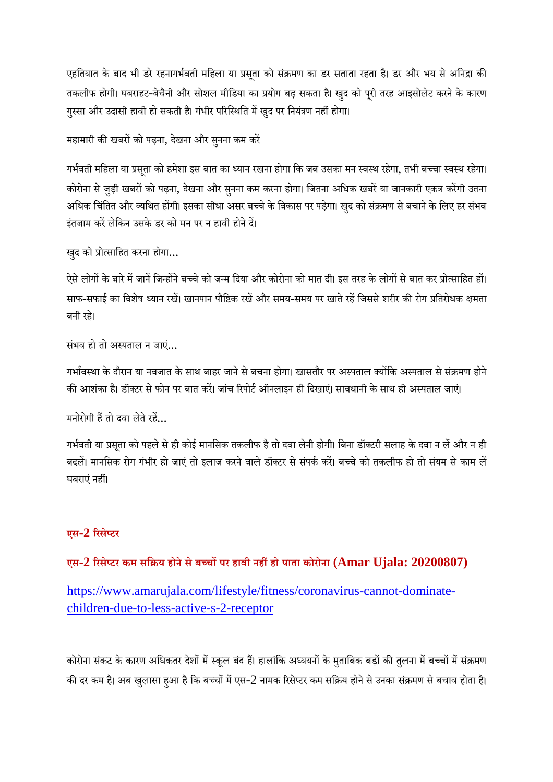एहतियात के बाद भी डरे रहनागर्भवती महिला या प्रसूता को संक्रमण का डर सताता रहता है। डर और भय से अनिद्रा की तकलीफ होगी। घबराहट-बेचैनी और सोशल मीडिया का प्रयोग बढ़ सकता है। खुद को पूरी तरह आइसोलेट करने के कारण गुस्सा और उदासी हावी हो सकती है। गंभीर परिस्थिति में खुद पर नियंत्रण नहीं होगा।

महामारी की खबरों को पढ़ना, देखना और सुनना कम करें

गर्भवती महिला या प्रसता को हमेशा इस बात का ध्यान रखना होगा कि जब उसका मन स्वस्थ रहेगा, तभी बच्चा स्वस्थ रहेगा। कोरोना से जुड़ी खबरों को पढ़ना, देखना और सुनना कम करना होगा। जितना अधिक खबरें या जानकारी एकत्र करेंगी उतना अधिक चिंतित और व्यथित होंगी। इसका सीधा असर बच्चे के विकास पर पड़ेगा। खुद को संक्रमण से बचाने के लिए हर संभव इंतजाम करें लेकिन उसके डर को मन पर न हावी होने दें।

खुद को प्रोत्साहित करना होगा...

ऐसे लोगों के बारे में जानें जिन्होंने बच्चे को जन्म दिया और कोरोना को मात दी। इस तरह के लोगों से बात कर प्रोत्साहित हों। साफ-सफाई का विशेष ध्यान रखें। खानपान पौष्टिक रखें और समय-समय पर खाते रहें जिससे शरीर की रोग प्रतिरोधक क्षमता बनी रह।े

संभव हो तो अपताल न जाएं...

गर्भावस्था के दौरान या नवजात के साथ बाहर जाने से बचना होगा। खासतौर पर अस्पताल क्योंकि अस्पताल से संक्रमण होने की आशंका है। डॉक्टर से फोन पर बात करें। जांच रिपोर्ट ऑनलाइन ही दिखाएं। सावधानी के साथ ही अस्पताल जाएं।

मनोरोगी हैं तो दवा लेते रहें...

गर्भवती या प्रसृता को पहले से ही कोई मानसिक तकलीफ है तो दवा लेनी होगी। बिना डॉक्टरी सलाह के दवा न लें और न ही बदलें। मानसिक रोग गंभीर हो जाएं तो इलाज करने वाले डॉक्टर से संपर्क करें। बच्चे को तकलीफ हो तो संयम से काम लें घबराएं नहीं।

#### **एस-2 रसेटर**

#### **एस-2 रसेटर कम सिय होनेसेबचपर हावी नहहो पाता कोरोना (Amar Ujala: 20200807)**

https://www.amarujala.com/lifestyle/fitness/coronavirus-cannot-dominatechildren-due-to-less-active-s-2-receptor

कोरोना संकट के कारण अधिकतर देशों में स्कूल बंद हैं। हालांकि अध्ययनों के मुताबिक बड़ों की तुलना में बच्चों में संक्रमण की दर कम है। अब खुलासा हुआ है कि बच्चों में एस-2 नामक रिसेप्टर कम सक्रिय होने से उनका संक्रमण से बचाव होता है।